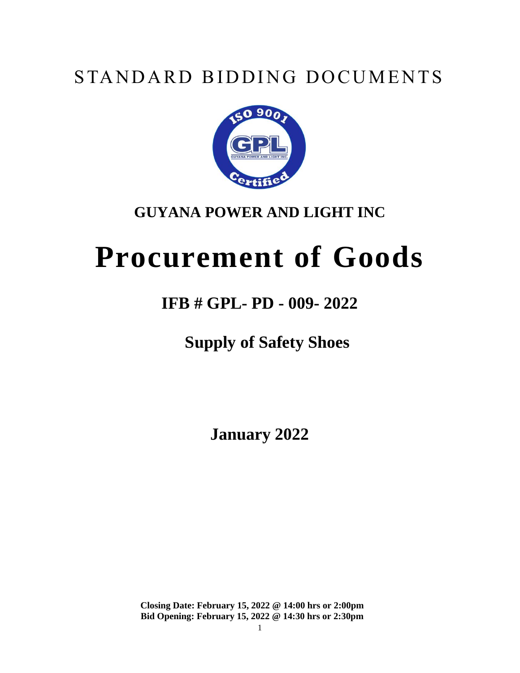# STANDARD BIDDING DOCUMENTS



# **GUYANA POWER AND LIGHT INC**

# **Procurement of Goods**

# **IFB # GPL- PD - 009- 2022**

**Supply of Safety Shoes**

**January 2022**

**Closing Date: February 15, 2022 @ 14:00 hrs or 2:00pm Bid Opening: February 15, 2022 @ 14:30 hrs or 2:30pm**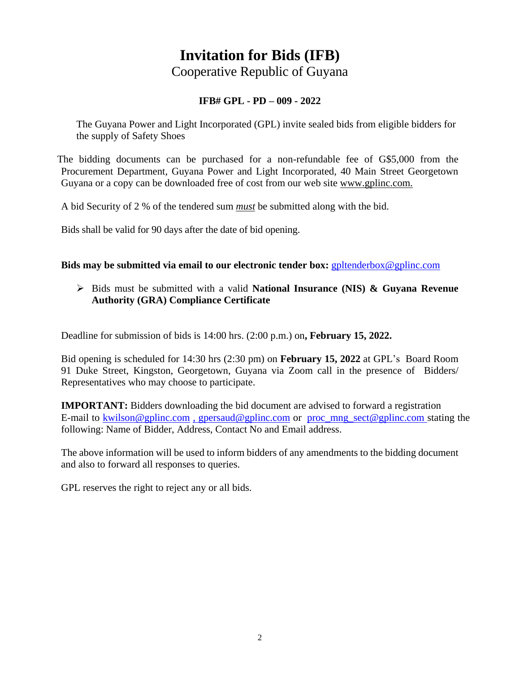# **Invitation for Bids (IFB)** Cooperative Republic of Guyana

#### **IFB# GPL - PD – 009 - 2022**

The Guyana Power and Light Incorporated (GPL) invite sealed bids from eligible bidders for the supply of Safety Shoes

The bidding documents can be purchased for a non-refundable fee of G\$5,000 from the Procurement Department, Guyana Power and Light Incorporated, 40 Main Street Georgetown Guyana or a copy can be downloaded free of cost from our web site www.gplinc.com.

A bid Security of 2 % of the tendered sum *must* be submitted along with the bid.

Bids shall be valid for 90 days after the date of bid opening.

#### **Bids may be submitted via email to our electronic tender box:** [gpltenderbox@gplinc.com](mailto:gpltenderbox@gplinc.com)

 Bids must be submitted with a valid **National Insurance (NIS) & Guyana Revenue Authority (GRA) Compliance Certificate**

Deadline for submission of bids is 14:00 hrs. (2:00 p.m.) on**, February 15, 2022.**

Bid opening is scheduled for 14:30 hrs (2:30 pm) on **February 15, 2022** at GPL's Board Room 91 Duke Street, Kingston, Georgetown, Guyana via Zoom call in the presence of Bidders/ Representatives who may choose to participate.

**IMPORTANT:** Bidders downloading the bid document are advised to forward a registration E-mail to [kwilson@gplinc.com](mailto:kwilson@gplinc.com) , gpersaud@gplinc.com or [proc\\_mng\\_sect@gplinc.com](mailto:proc_mng_sect@gplinc.com) stating the following: Name of Bidder, Address, Contact No and Email address.

The above information will be used to inform bidders of any amendments to the bidding document and also to forward all responses to queries.

GPL reserves the right to reject any or all bids.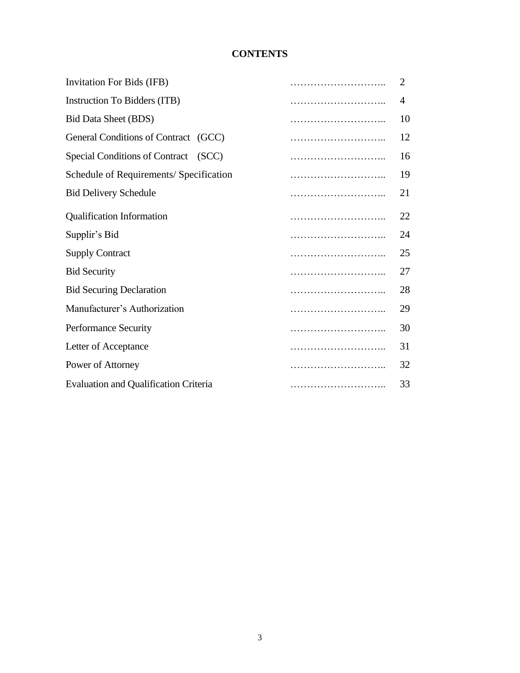# **CONTENTS**

| Invitation For Bids (IFB)                      | 2  |
|------------------------------------------------|----|
| Instruction To Bidders (ITB)                   | 4  |
| <b>Bid Data Sheet (BDS)</b>                    | 10 |
| General Conditions of Contract (GCC)           | 12 |
| <b>Special Conditions of Contract</b><br>(SCC) | 16 |
| Schedule of Requirements/ Specification        | 19 |
| <b>Bid Delivery Schedule</b>                   | 21 |
| <b>Qualification Information</b>               | 22 |
| Supplir's Bid                                  | 24 |
| <b>Supply Contract</b>                         | 25 |
| <b>Bid Security</b>                            | 27 |
| <b>Bid Securing Declaration</b>                | 28 |
| Manufacturer's Authorization                   | 29 |
| Performance Security                           | 30 |
| Letter of Acceptance                           | 31 |
| Power of Attorney                              | 32 |
| <b>Evaluation and Qualification Criteria</b>   | 33 |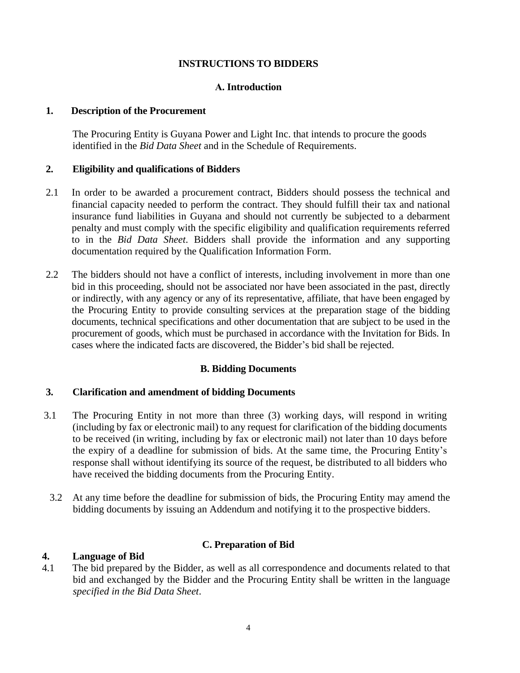#### **INSTRUCTIONS TO BIDDERS**

#### **А. Introduction**

#### **1. Description of the Procurement**

The Procuring Entity is Guyana Power and Light Inc. that intends to procure the goods identified in the *Bid Data Sheet* and in the Schedule of Requirements.

#### **2. Eligibility and qualifications of Bidders**

- 2.1 In order to be awarded a procurement contract, Bidders should possess the technical and financial capacity needed to perform the contract. They should fulfill their tax and national insurance fund liabilities in Guyana and should not currently be subjected to a debarment penalty and must comply with the specific eligibility and qualification requirements referred to in the *Bid Data Sheet*. Bidders shall provide the information and any supporting documentation required by the Qualification Information Form.
- 2.2 The bidders should not have a conflict of interests, including involvement in more than one bid in this proceeding, should not be associated nor have been associated in the past, directly or indirectly, with any agency or any of its representative, affiliate, that have been engaged by the Procuring Entity to provide consulting services at the preparation stage of the bidding documents, technical specifications and other documentation that are subject to be used in the procurement of goods, which must be purchased in accordance with the Invitation for Bids. In cases where the indicated facts are discovered, the Bidder's bid shall be rejected.

#### **B. Bidding Documents**

#### **3. Clarification and amendment of bidding Documents**

- 3.1 The Procuring Entity in not more than three (3) working days, will respond in writing (including by fax or electronic mail) to any request for clarification of the bidding documents to be received (in writing, including by fax or electronic mail) not later than 10 days before the expiry of a deadline for submission of bids. At the same time, the Procuring Entity's response shall without identifying its source of the request, be distributed to all bidders who have received the bidding documents from the Procuring Entity.
- 3.2 At any time before the deadline for submission of bids, the Procuring Entity may amend the bidding documents by issuing an Addendum and notifying it to the prospective bidders.

#### **C. Preparation of Bid**

#### **4. Language of Bid**

4.1 The bid prepared by the Bidder, as well as all correspondence and documents related to that bid and exchanged by the Bidder and the Procuring Entity shall be written in the language *specified in the Bid Data Sheet*.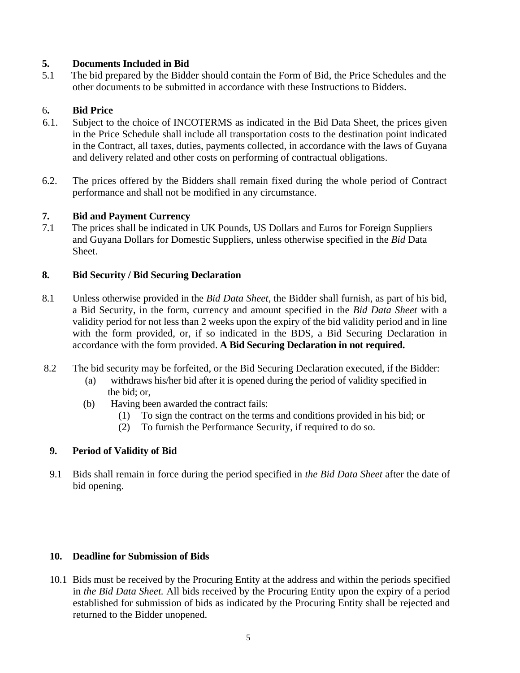#### **5. Documents Included in Bid**

5.1 The bid prepared by the Bidder should contain the Form of Bid, the Price Schedules and the other documents to be submitted in accordance with these Instructions to Bidders.

#### 6**. Bid Price**

- 6.1. Subject to the choice of INCOTERMS as indicated in the Bid Data Sheet, the prices given in the Price Schedule shall include all transportation costs to the destination point indicated in the Contract, all taxes, duties, payments collected, in accordance with the laws of Guyana and delivery related and other costs on performing of contractual obligations.
- 6.2. The prices offered by the Bidders shall remain fixed during the whole period of Contract performance and shall not be modified in any circumstance.

#### **7. Bid and Payment Currency**

7.1 The prices shall be indicated in UK Pounds, US Dollars and Euros for Foreign Suppliers and Guyana Dollars for Domestic Suppliers, unless otherwise specified in the *Bid* Data Sheet.

#### **8. Bid Security / Bid Securing Declaration**

- 8.1 Unless otherwise provided in the *Bid Data Sheet*, the Bidder shall furnish, as part of his bid, a Bid Security, in the form, currency and amount specified in the *Bid Data Sheet* with a validity period for not less than 2 weeks upon the expiry of the bid validity period and in line with the form provided, or, if so indicated in the BDS, a Bid Securing Declaration in accordance with the form provided. **A Bid Securing Declaration in not required.**
- 8.2 The bid security may be forfeited, or the Bid Securing Declaration executed, if the Bidder:
	- (а) withdraws his/her bid after it is opened during the period of validity specified in the bid; or,
	- (b) Having been awarded the contract fails:
		- (1) To sign the contract on the terms and conditions provided in his bid; or
		- (2) To furnish the Performance Security, if required to do so.

#### **9. Period of Validity of Bid**

9.1 Bids shall remain in force during the period specified in *the Bid Data Sheet* after the date of bid opening.

#### **10. Deadline for Submission of Bids**

10.1 Bids must be received by the Procuring Entity at the address and within the periods specified in *the Bid Data Sheet.* All bids received by the Procuring Entity upon the expiry of a period established for submission of bids as indicated by the Procuring Entity shall be rejected and returned to the Bidder unopened.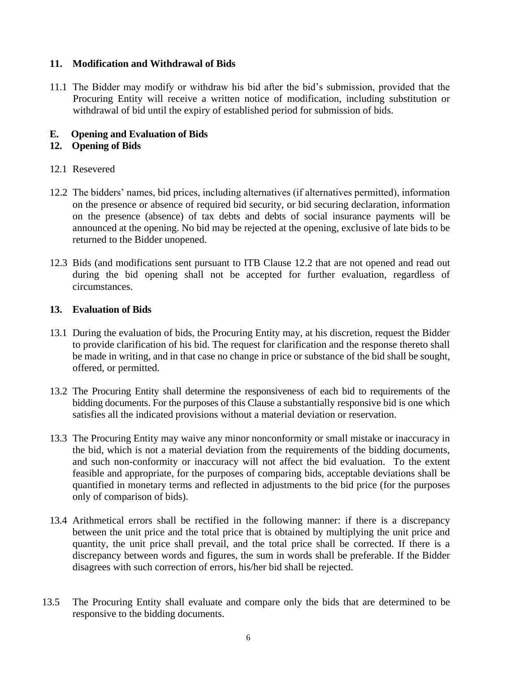#### **11. Modification and Withdrawal of Bids**

11.1 The Bidder may modify or withdraw his bid after the bid's submission, provided that the Procuring Entity will receive a written notice of modification, including substitution or withdrawal of bid until the expiry of established period for submission of bids.

#### **E. Opening and Evaluation of Bids**

#### **12. Opening of Bids**

#### 12.1 Resevered

- 12.2 The bidders' names, bid prices, including alternatives (if alternatives permitted), information on the presence or absence of required bid security, or bid securing declaration, information on the presence (absence) of tax debts and debts of social insurance payments will be announced at the opening. No bid may be rejected at the opening, exclusive of late bids to be returned to the Bidder unopened.
- 12.3 Bids (and modifications sent pursuant to ITB Clause 12.2 that are not opened and read out during the bid opening shall not be accepted for further evaluation, regardless of circumstances.

#### **13. Evaluation of Bids**

- 13.1 During the evaluation of bids, the Procuring Entity may, at his discretion, request the Bidder to provide clarification of his bid. The request for clarification and the response thereto shall be made in writing, and in that case no change in price or substance of the bid shall be sought, offered, or permitted.
- 13.2 The Procuring Entity shall determine the responsiveness of each bid to requirements of the bidding documents. For the purposes of this Clause a substantially responsive bid is one which satisfies all the indicated provisions without a material deviation or reservation.
- 13.3 The Procuring Entity may waive any minor nonconformity or small mistake or inaccuracy in the bid, which is not a material deviation from the requirements of the bidding documents, and such non-conformity or inaccuracy will not affect the bid evaluation. To the extent feasible and appropriate, for the purposes of comparing bids, acceptable deviations shall be quantified in monetary terms and reflected in adjustments to the bid price (for the purposes only of comparison of bids).
- 13.4 Arithmetical errors shall be rectified in the following manner: if there is a discrepancy between the unit price and the total price that is obtained by multiplying the unit price and quantity, the unit price shall prevail, and the total price shall be corrected. If there is a discrepancy between words and figures, the sum in words shall be preferable. If the Bidder disagrees with such correction of errors, his/her bid shall be rejected.
- 13.5 The Procuring Entity shall evaluate and compare only the bids that are determined to be responsive to the bidding documents.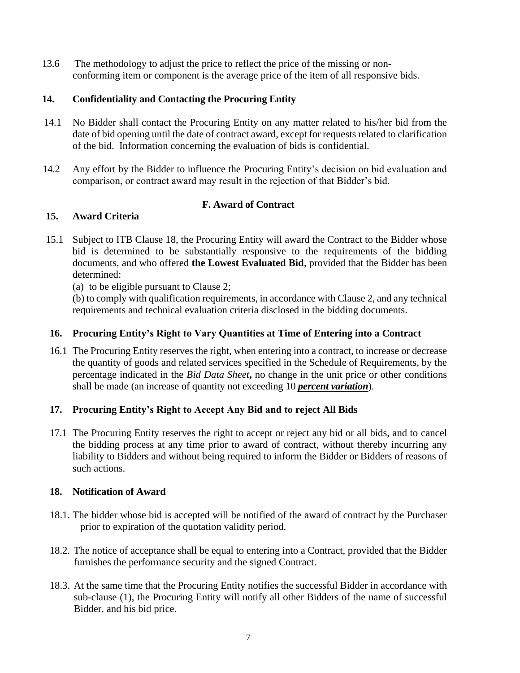13.6 The methodology to adjust the price to reflect the price of the missing or non conforming item or component is the average price of the item of all responsive bids.

#### **14. Confidentiality and Contacting the Procuring Entity**

- 14.1 No Bidder shall contact the Procuring Entity on any matter related to his/her bid from the date of bid opening until the date of contract award, except for requests related to clarification of the bid. Information concerning the evaluation of bids is confidential.
- 14.2 Any effort by the Bidder to influence the Procuring Entity's decision on bid evaluation and comparison, or contract award may result in the rejection of that Bidder's bid.

#### **F. Award of Contract**

#### **15. Award Criteria**

15.1 Subject to ITB Clause 18, the Procuring Entity will award the Contract to the Bidder whose bid is determined to be substantially responsive to the requirements of the bidding documents, and who offered **the Lowest Evaluated Bid**, provided that the Bidder has been determined:

(a) to be eligible pursuant to Clause 2;

(b) to comply with qualification requirements, in accordance with Clause 2, and any technical requirements and technical evaluation criteria disclosed in the bidding documents.

#### **16. Procuring Entity's Right to Vary Quantities at Time of Entering into a Contract**

16.1 The Procuring Entity reserves the right, when entering into a contract, to increase or decrease the quantity of goods and related services specified in the Schedule of Requirements, by the percentage indicated in the *Bid Data Sheet***,** no change in the unit price or other conditions shall be made (an increase of quantity not exceeding 10 *percent variation*).

#### **17. Procuring Entity's Right to Accept Any Bid and to reject All Bids**

17.1 The Procuring Entity reserves the right to accept or reject any bid or all bids, and to cancel the bidding process at any time prior to award of contract, without thereby incurring any liability to Bidders and without being required to inform the Bidder or Bidders of reasons of such actions.

#### **18. Notification of Award**

- 18.1. The bidder whose bid is accepted will be notified of the award of contract by the Purchaser prior to expiration of the quotation validity period.
- 18.2. The notice of acceptance shall be equal to entering into a Contract, provided that the Bidder furnishes the performance security and the signed Contract.
- 18.3. At the same time that the Procuring Entity notifies the successful Bidder in accordance with sub-clause (1), the Procuring Entity will notify all other Bidders of the name of successful Bidder, and his bid price.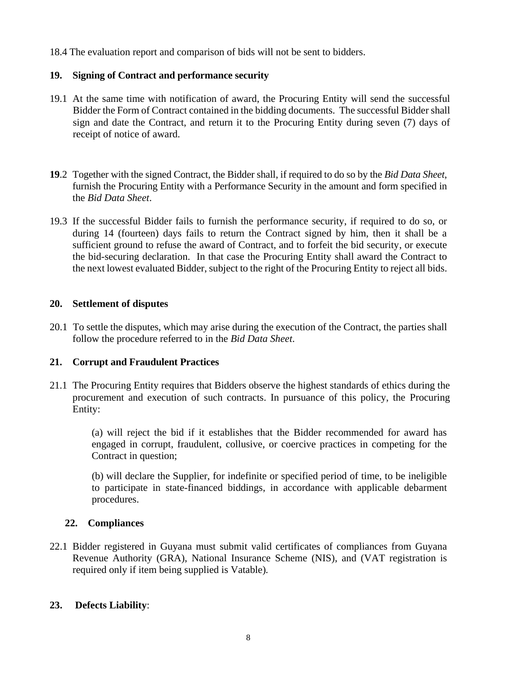18.4 The evaluation report and comparison of bids will not be sent to bidders.

#### **19. Signing of Contract and performance security**

- 19.1 At the same time with notification of award, the Procuring Entity will send the successful Bidder the Form of Contract contained in the bidding documents. The successful Bidder shall sign and date the Contract, and return it to the Procuring Entity during seven (7) days of receipt of notice of award.
- **19**.2 Together with the signed Contract, the Bidder shall, if required to do so by the *Bid Data Sheet*, furnish the Procuring Entity with a Performance Security in the amount and form specified in the *Bid Data Sheet*.
- 19.3 If the successful Bidder fails to furnish the performance security, if required to do so, or during 14 (fourteen) days fails to return the Contract signed by him, then it shall be a sufficient ground to refuse the award of Contract, and to forfeit the bid security, or execute the bid-securing declaration. In that case the Procuring Entity shall award the Contract to the next lowest evaluated Bidder, subject to the right of the Procuring Entity to reject all bids.

#### **20. Settlement of disputes**

20.1 To settle the disputes, which may arise during the execution of the Contract, the parties shall follow the procedure referred to in the *Bid Data Sheet*.

#### **21. Corrupt and Fraudulent Practices**

21.1 The Procuring Entity requires that Bidders observe the highest standards of ethics during the procurement and execution of such contracts. In pursuance of this policy, the Procuring Entity:

> (a) will reject the bid if it establishes that the Bidder recommended for award has engaged in corrupt, fraudulent, collusive, or coercive practices in competing for the Contract in question;

> (b) will declare the Supplier, for indefinite or specified period of time, to be ineligible to participate in state-financed biddings, in accordance with applicable debarment procedures.

#### **22. Compliances**

22.1 Bidder registered in Guyana must submit valid certificates of compliances from Guyana Revenue Authority (GRA), National Insurance Scheme (NIS), and (VAT registration is required only if item being supplied is Vatable)*.*

#### **23. Defects Liability**: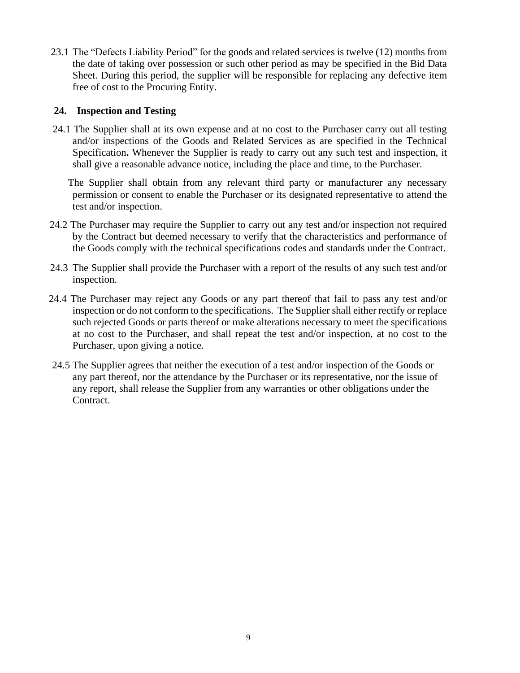23.1 The "Defects Liability Period" for the goods and related services is twelve (12) months from the date of taking over possession or such other period as may be specified in the Bid Data Sheet. During this period, the supplier will be responsible for replacing any defective item free of cost to the Procuring Entity.

#### **24. Inspection and Testing**

 24.1 The Supplier shall at its own expense and at no cost to the Purchaser carry out all testing and/or inspections of the Goods and Related Services as are specified in the Technical Specification**.** Whenever the Supplier is ready to carry out any such test and inspection, it shall give a reasonable advance notice, including the place and time, to the Purchaser.

 The Supplier shall obtain from any relevant third party or manufacturer any necessary permission or consent to enable the Purchaser or its designated representative to attend the test and/or inspection.

- 24.2 The Purchaser may require the Supplier to carry out any test and/or inspection not required by the Contract but deemed necessary to verify that the characteristics and performance of the Goods comply with the technical specifications codes and standards under the Contract.
- 24.3 The Supplier shall provide the Purchaser with a report of the results of any such test and/or inspection.
- 24.4 The Purchaser may reject any Goods or any part thereof that fail to pass any test and/or inspection or do not conform to the specifications. The Supplier shall either rectify or replace such rejected Goods or parts thereof or make alterations necessary to meet the specifications at no cost to the Purchaser, and shall repeat the test and/or inspection, at no cost to the Purchaser, upon giving a notice.
- 24.5 The Supplier agrees that neither the execution of a test and/or inspection of the Goods or any part thereof, nor the attendance by the Purchaser or its representative, nor the issue of any report, shall release the Supplier from any warranties or other obligations under the Contract.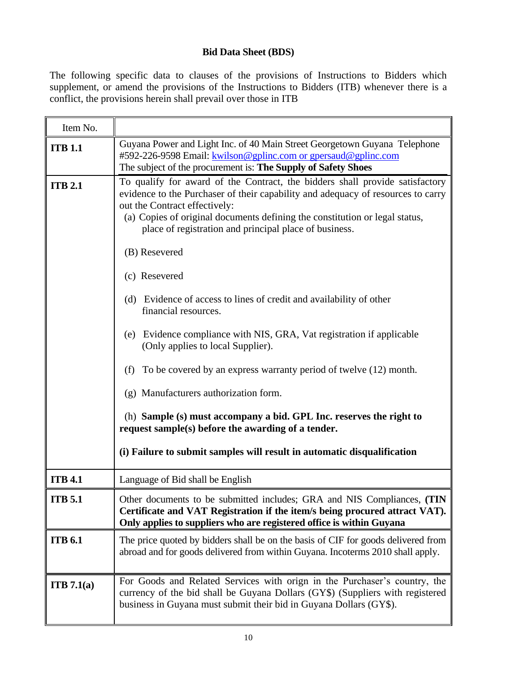#### **Bid Data Sheet (BDS)**

The following specific data to clauses of the provisions of Instructions to Bidders which supplement, or amend the provisions of the Instructions to Bidders (ITB) whenever there is a conflict, the provisions herein shall prevail over those in ITB

| Item No.       |                                                                                                                                                                                                                                                                                                                                                                                                                                                                                                                                                                                                                                                                                                                                                                                                                                                                                                                          |
|----------------|--------------------------------------------------------------------------------------------------------------------------------------------------------------------------------------------------------------------------------------------------------------------------------------------------------------------------------------------------------------------------------------------------------------------------------------------------------------------------------------------------------------------------------------------------------------------------------------------------------------------------------------------------------------------------------------------------------------------------------------------------------------------------------------------------------------------------------------------------------------------------------------------------------------------------|
| <b>ITB 1.1</b> | Guyana Power and Light Inc. of 40 Main Street Georgetown Guyana Telephone<br>#592-226-9598 Email: kwilson@gplinc.com or gpersaud@gplinc.com<br>The subject of the procurement is: The Supply of Safety Shoes                                                                                                                                                                                                                                                                                                                                                                                                                                                                                                                                                                                                                                                                                                             |
| <b>ITB 2.1</b> | To qualify for award of the Contract, the bidders shall provide satisfactory<br>evidence to the Purchaser of their capability and adequacy of resources to carry<br>out the Contract effectively:<br>(a) Copies of original documents defining the constitution or legal status,<br>place of registration and principal place of business.<br>(B) Resevered<br>(c) Resevered<br>(d) Evidence of access to lines of credit and availability of other<br>financial resources.<br>Evidence compliance with NIS, GRA, Vat registration if applicable<br>(e)<br>(Only applies to local Supplier).<br>(f) To be covered by an express warranty period of twelve $(12)$ month.<br>(g) Manufacturers authorization form.<br>(h) Sample (s) must accompany a bid. GPL Inc. reserves the right to<br>request sample(s) before the awarding of a tender.<br>(i) Failure to submit samples will result in automatic disqualification |
| <b>ITB 4.1</b> | Language of Bid shall be English                                                                                                                                                                                                                                                                                                                                                                                                                                                                                                                                                                                                                                                                                                                                                                                                                                                                                         |
| <b>ITB</b> 5.1 | Other documents to be submitted includes; GRA and NIS Compliances, (TIN<br>Certificate and VAT Registration if the item/s being procured attract VAT).<br>Only applies to suppliers who are registered office is within Guyana                                                                                                                                                                                                                                                                                                                                                                                                                                                                                                                                                                                                                                                                                           |
| <b>ITB 6.1</b> | The price quoted by bidders shall be on the basis of CIF for goods delivered from<br>abroad and for goods delivered from within Guyana. Incoterms 2010 shall apply.                                                                                                                                                                                                                                                                                                                                                                                                                                                                                                                                                                                                                                                                                                                                                      |
| ITB 7.1(a)     | For Goods and Related Services with orign in the Purchaser's country, the<br>currency of the bid shall be Guyana Dollars (GY\$) (Suppliers with registered<br>business in Guyana must submit their bid in Guyana Dollars (GY\$).                                                                                                                                                                                                                                                                                                                                                                                                                                                                                                                                                                                                                                                                                         |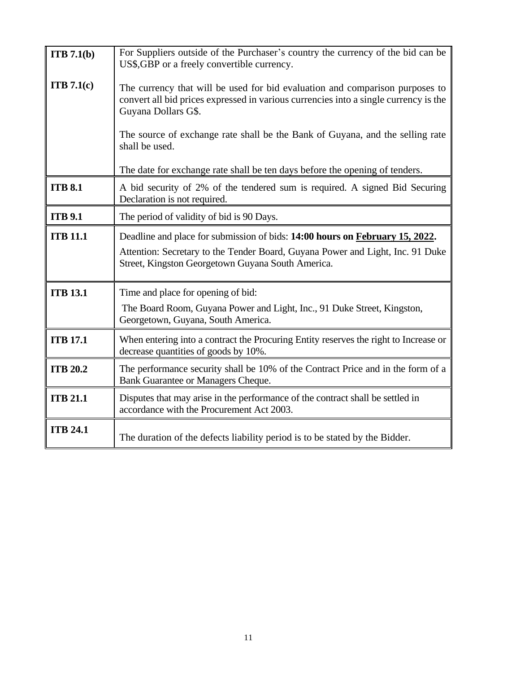| ITB 7.1(b)      | For Suppliers outside of the Purchaser's country the currency of the bid can be<br>US\$, GBP or a freely convertible currency.                                                              |  |  |
|-----------------|---------------------------------------------------------------------------------------------------------------------------------------------------------------------------------------------|--|--|
| ITB 7.1(c)      | The currency that will be used for bid evaluation and comparison purposes to<br>convert all bid prices expressed in various currencies into a single currency is the<br>Guyana Dollars G\$. |  |  |
|                 | The source of exchange rate shall be the Bank of Guyana, and the selling rate<br>shall be used.                                                                                             |  |  |
|                 | The date for exchange rate shall be ten days before the opening of tenders.                                                                                                                 |  |  |
| <b>ITB 8.1</b>  | A bid security of 2% of the tendered sum is required. A signed Bid Securing<br>Declaration is not required.                                                                                 |  |  |
| <b>ITB 9.1</b>  | The period of validity of bid is 90 Days.                                                                                                                                                   |  |  |
| <b>ITB 11.1</b> | Deadline and place for submission of bids: 14:00 hours on February 15, 2022.                                                                                                                |  |  |
|                 | Attention: Secretary to the Tender Board, Guyana Power and Light, Inc. 91 Duke<br>Street, Kingston Georgetown Guyana South America.                                                         |  |  |
| <b>ITB 13.1</b> | Time and place for opening of bid:                                                                                                                                                          |  |  |
|                 | The Board Room, Guyana Power and Light, Inc., 91 Duke Street, Kingston,<br>Georgetown, Guyana, South America.                                                                               |  |  |
| <b>ITB 17.1</b> | When entering into a contract the Procuring Entity reserves the right to Increase or<br>decrease quantities of goods by 10%.                                                                |  |  |
| <b>ITB 20.2</b> | The performance security shall be 10% of the Contract Price and in the form of a<br>Bank Guarantee or Managers Cheque.                                                                      |  |  |
| <b>ITB 21.1</b> | Disputes that may arise in the performance of the contract shall be settled in<br>accordance with the Procurement Act 2003.                                                                 |  |  |
| <b>ITB 24.1</b> | The duration of the defects liability period is to be stated by the Bidder.                                                                                                                 |  |  |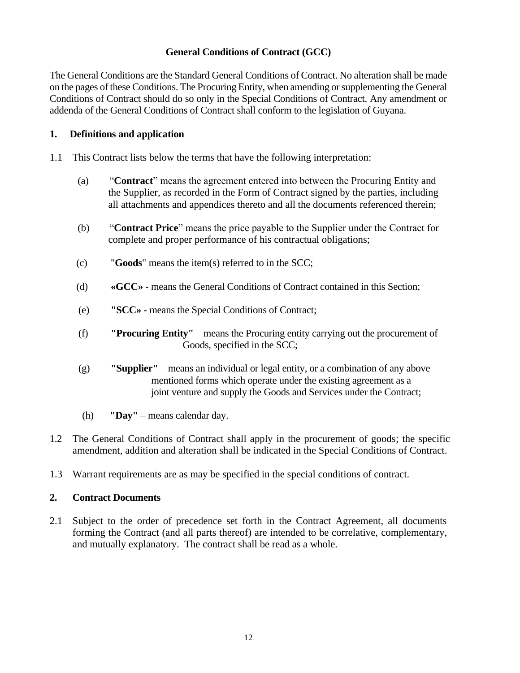#### **General Conditions of Contract (GCC)**

The General Conditions are the Standard General Conditions of Contract. No alteration shall be made on the pages of these Conditions. The Procuring Entity, when amending or supplementing the General Conditions of Contract should do so only in the Special Conditions of Contract. Any amendment or addenda of the General Conditions of Contract shall conform to the legislation of Guyana.

#### **1. Definitions and application**

- 1.1 This Contract lists below the terms that have the following interpretation:
	- (a) "**Contract**" means the agreement entered into between the Procuring Entity and the Supplier, as recorded in the Form of Contract signed by the parties, including all attachments and appendices thereto and all the documents referenced therein;
	- (b) "**Contract Price**" means the price payable to the Supplier under the Contract for complete and proper performance of his contractual obligations;
	- (c) "**Goods**" means the item(s) referred to in the SCC;
	- (d) **«GCC»** means the General Conditions of Contract contained in this Section;
	- (e) **"SCC» -** means the Special Conditions of Contract;
	- (f) **"Procuring Entity"** means the Procuring entity carrying out the procurement of Goods, specified in the SCC;
	- (g) **"Supplier"** means an individual or legal entity, or a combination of any above mentioned forms which operate under the existing agreement as a joint venture and supply the Goods and Services under the Contract;
	- (h) **"Day"** means calendar day.
- 1.2 The General Conditions of Contract shall apply in the procurement of goods; the specific amendment, addition and alteration shall be indicated in the Special Conditions of Contract.
- 1.3 Warrant requirements are as may be specified in the special conditions of contract.

#### **2. Contract Documents**

2.1 Subject to the order of precedence set forth in the Contract Agreement, all documents forming the Contract (and all parts thereof) are intended to be correlative, complementary, and mutually explanatory. The contract shall be read as a whole.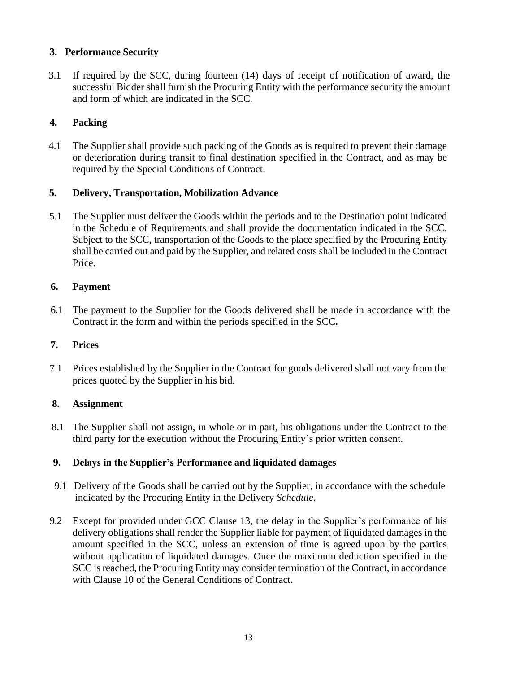#### **3. Performance Security**

 3.1 If required by the SCC, during fourteen (14) days of receipt of notification of award, the successful Bidder shall furnish the Procuring Entity with the performance security the amount and form of which are indicated in the SCC*.*

#### **4. Packing**

 4.1 The Supplier shall provide such packing of the Goods as is required to prevent their damage or deterioration during transit to final destination specified in the Contract, and as may be required by the Special Conditions of Contract.

#### **5. Delivery, Transportation, Mobilization Advance**

 5.1 The Supplier must deliver the Goods within the periods and to the Destination point indicated in the Schedule of Requirements and shall provide the documentation indicated in the SCC. Subject to the SCC, transportation of the Goods to the place specified by the Procuring Entity shall be carried out and paid by the Supplier, and related costs shall be included in the Contract Price.

#### **6. Payment**

 6.1 The payment to the Supplier for the Goods delivered shall be made in accordance with the Contract in the form and within the periods specified in the SCC**.**

#### **7. Prices**

 7.1 Prices established by the Supplier in the Contract for goods delivered shall not vary from the prices quoted by the Supplier in his bid.

#### **8. Assignment**

 8.1 The Supplier shall not assign, in whole or in part, his obligations under the Contract to the third party for the execution without the Procuring Entity's prior written consent.

#### **9. Delays in the Supplier's Performance and liquidated damages**

- 9.1 Delivery of the Goods shall be carried out by the Supplier, in accordance with the schedule indicated by the Procuring Entity in the Delivery *Schedule.*
- 9.2 Except for provided under GCC Clause 13, the delay in the Supplier's performance of his delivery obligations shall render the Supplier liable for payment of liquidated damages in the amount specified in the SCC, unless an extension of time is agreed upon by the parties without application of liquidated damages. Once the maximum deduction specified in the SCC is reached, the Procuring Entity may consider termination of the Contract, in accordance with Clause 10 of the General Conditions of Contract.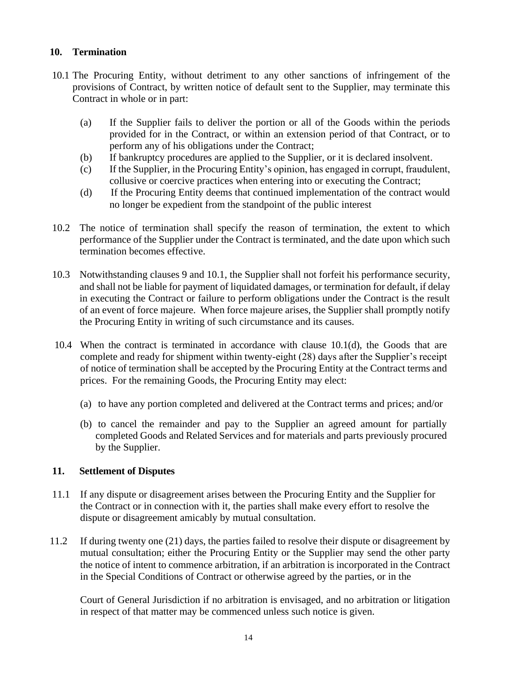#### **10. Termination**

- 10.1 The Procuring Entity, without detriment to any other sanctions of infringement of the provisions of Contract, by written notice of default sent to the Supplier, may terminate this Contract in whole or in part:
	- (a) If the Supplier fails to deliver the portion or all of the Goods within the periods provided for in the Contract, or within an extension period of that Contract, or to perform any of his obligations under the Contract;
	- (b) If bankruptcy procedures are applied to the Supplier, or it is declared insolvent.
	- (c) If the Supplier, in the Procuring Entity's opinion, has engaged in corrupt, fraudulent, collusive or coercive practices when entering into or executing the Contract;
	- (d) If the Procuring Entity deems that continued implementation of the contract would no longer be expedient from the standpoint of the public interest
- 10.2 The notice of termination shall specify the reason of termination, the extent to which performance of the Supplier under the Contract is terminated, and the date upon which such termination becomes effective.
- 10.3 Notwithstanding clauses 9 and 10.1, the Supplier shall not forfeit his performance security, and shall not be liable for payment of liquidated damages, or termination for default, if delay in executing the Contract or failure to perform obligations under the Contract is the result of an event of force majeure. When force majeure arises, the Supplier shall promptly notify the Procuring Entity in writing of such circumstance and its causes.
- 10.4 When the contract is terminated in accordance with clause 10.1(d), the Goods that are complete and ready for shipment within twenty-eight (28) days after the Supplier's receipt of notice of termination shall be accepted by the Procuring Entity at the Contract terms and prices. For the remaining Goods, the Procuring Entity may elect:
	- (a) to have any portion completed and delivered at the Contract terms and prices; and/or
	- (b) to cancel the remainder and pay to the Supplier an agreed amount for partially completed Goods and Related Services and for materials and parts previously procured by the Supplier.

#### **11. Settlement of Disputes**

- 11.1 If any dispute or disagreement arises between the Procuring Entity and the Supplier for the Contract or in connection with it, the parties shall make every effort to resolve the dispute or disagreement amicably by mutual consultation.
- 11.2 If during twenty one (21) days, the parties failed to resolve their dispute or disagreement by mutual consultation; either the Procuring Entity or the Supplier may send the other party the notice of intent to commence arbitration, if an arbitration is incorporated in the Contract in the Special Conditions of Contract or otherwise agreed by the parties, or in the

Court of General Jurisdiction if no arbitration is envisaged, and no arbitration or litigation in respect of that matter may be commenced unless such notice is given.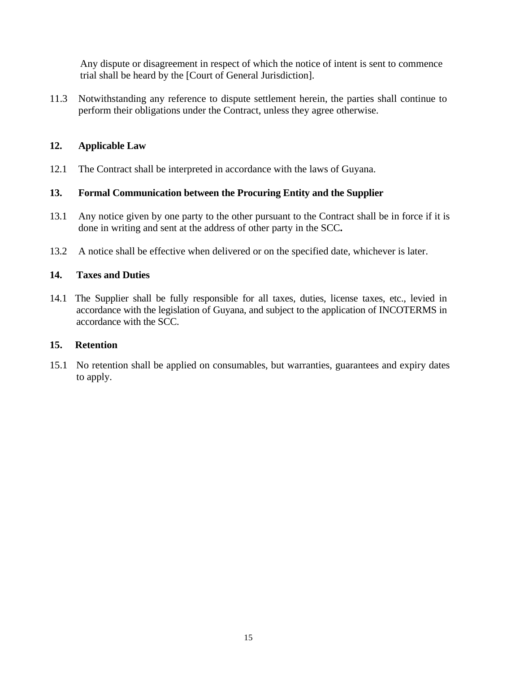Any dispute or disagreement in respect of which the notice of intent is sent to commence trial shall be heard by the [Court of General Jurisdiction].

11.3 Notwithstanding any reference to dispute settlement herein, the parties shall continue to perform their obligations under the Contract, unless they agree otherwise.

#### **12. Applicable Law**

12.1 The Contract shall be interpreted in accordance with the laws of Guyana.

#### **13. Formal Communication between the Procuring Entity and the Supplier**

- 13.1 Any notice given by one party to the other pursuant to the Contract shall be in force if it is done in writing and sent at the address of other party in the SCC**.**
- 13.2 A notice shall be effective when delivered or on the specified date, whichever is later.

#### **14. Taxes and Duties**

14.1 The Supplier shall be fully responsible for all taxes, duties, license taxes, etc., levied in accordance with the legislation of Guyana, and subject to the application of INCOTERMS in accordance with the SCC.

#### **15. Retention**

15.1 No retention shall be applied on consumables, but warranties, guarantees and expiry dates to apply.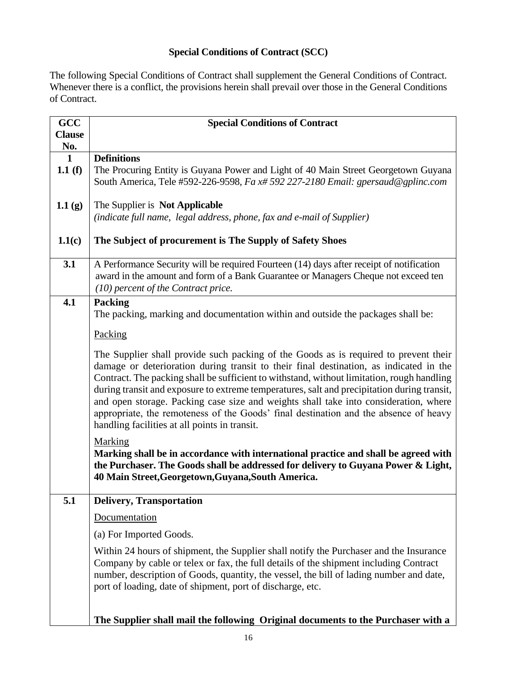#### **Special Conditions of Contract (SCC)**

The following Special Conditions of Contract shall supplement the General Conditions of Contract. Whenever there is a conflict, the provisions herein shall prevail over those in the General Conditions of Contract.

| GCC                 | <b>Special Conditions of Contract</b>                                                                                                                                                                                                                                                                                                                                                                                                                                                                                                                                                                        |
|---------------------|--------------------------------------------------------------------------------------------------------------------------------------------------------------------------------------------------------------------------------------------------------------------------------------------------------------------------------------------------------------------------------------------------------------------------------------------------------------------------------------------------------------------------------------------------------------------------------------------------------------|
| <b>Clause</b>       |                                                                                                                                                                                                                                                                                                                                                                                                                                                                                                                                                                                                              |
| No.<br>$\mathbf{1}$ | <b>Definitions</b>                                                                                                                                                                                                                                                                                                                                                                                                                                                                                                                                                                                           |
| 1.1 $(f)$           | The Procuring Entity is Guyana Power and Light of 40 Main Street Georgetown Guyana<br>South America, Tele #592-226-9598, Fa x# 592 227-2180 Email: gpersaud@gplinc.com                                                                                                                                                                                                                                                                                                                                                                                                                                       |
| 1.1(g)              | The Supplier is Not Applicable<br>(indicate full name, legal address, phone, fax and e-mail of Supplier)                                                                                                                                                                                                                                                                                                                                                                                                                                                                                                     |
| 1.1(c)              | The Subject of procurement is The Supply of Safety Shoes                                                                                                                                                                                                                                                                                                                                                                                                                                                                                                                                                     |
| 3.1                 | A Performance Security will be required Fourteen (14) days after receipt of notification<br>award in the amount and form of a Bank Guarantee or Managers Cheque not exceed ten<br>(10) percent of the Contract price.                                                                                                                                                                                                                                                                                                                                                                                        |
| 4.1                 | <b>Packing</b><br>The packing, marking and documentation within and outside the packages shall be:                                                                                                                                                                                                                                                                                                                                                                                                                                                                                                           |
|                     | Packing                                                                                                                                                                                                                                                                                                                                                                                                                                                                                                                                                                                                      |
|                     | The Supplier shall provide such packing of the Goods as is required to prevent their<br>damage or deterioration during transit to their final destination, as indicated in the<br>Contract. The packing shall be sufficient to withstand, without limitation, rough handling<br>during transit and exposure to extreme temperatures, salt and precipitation during transit,<br>and open storage. Packing case size and weights shall take into consideration, where<br>appropriate, the remoteness of the Goods' final destination and the absence of heavy<br>handling facilities at all points in transit. |
|                     | Marking<br>Marking shall be in accordance with international practice and shall be agreed with<br>the Purchaser. The Goods shall be addressed for delivery to Guyana Power & Light,<br>40 Main Street, Georgetown, Guyana, South America.                                                                                                                                                                                                                                                                                                                                                                    |
| 5.1                 | <b>Delivery, Transportation</b>                                                                                                                                                                                                                                                                                                                                                                                                                                                                                                                                                                              |
|                     | Documentation                                                                                                                                                                                                                                                                                                                                                                                                                                                                                                                                                                                                |
|                     | (a) For Imported Goods.                                                                                                                                                                                                                                                                                                                                                                                                                                                                                                                                                                                      |
|                     | Within 24 hours of shipment, the Supplier shall notify the Purchaser and the Insurance<br>Company by cable or telex or fax, the full details of the shipment including Contract<br>number, description of Goods, quantity, the vessel, the bill of lading number and date,<br>port of loading, date of shipment, port of discharge, etc.                                                                                                                                                                                                                                                                     |
|                     | The Supplier shall mail the following Original documents to the Purchaser with a                                                                                                                                                                                                                                                                                                                                                                                                                                                                                                                             |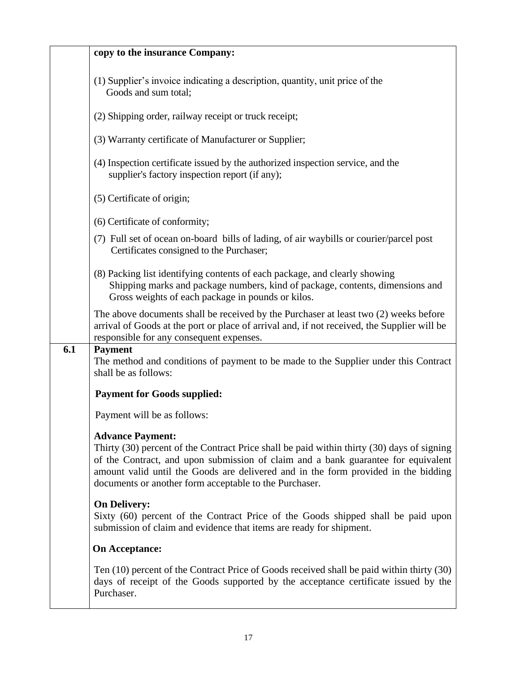|     | copy to the insurance Company:                                                                                                                                                                                                                                                                                                                             |
|-----|------------------------------------------------------------------------------------------------------------------------------------------------------------------------------------------------------------------------------------------------------------------------------------------------------------------------------------------------------------|
|     | (1) Supplier's invoice indicating a description, quantity, unit price of the<br>Goods and sum total;                                                                                                                                                                                                                                                       |
|     | (2) Shipping order, railway receipt or truck receipt;                                                                                                                                                                                                                                                                                                      |
|     | (3) Warranty certificate of Manufacturer or Supplier;                                                                                                                                                                                                                                                                                                      |
|     | (4) Inspection certificate issued by the authorized inspection service, and the<br>supplier's factory inspection report (if any);                                                                                                                                                                                                                          |
|     | (5) Certificate of origin;                                                                                                                                                                                                                                                                                                                                 |
|     | (6) Certificate of conformity;                                                                                                                                                                                                                                                                                                                             |
|     | (7) Full set of ocean on-board bills of lading, of air waybills or courier/parcel post<br>Certificates consigned to the Purchaser;                                                                                                                                                                                                                         |
|     | (8) Packing list identifying contents of each package, and clearly showing<br>Shipping marks and package numbers, kind of package, contents, dimensions and<br>Gross weights of each package in pounds or kilos.                                                                                                                                           |
|     | The above documents shall be received by the Purchaser at least two (2) weeks before<br>arrival of Goods at the port or place of arrival and, if not received, the Supplier will be<br>responsible for any consequent expenses.                                                                                                                            |
| 6.1 | <b>Payment</b><br>The method and conditions of payment to be made to the Supplier under this Contract<br>shall be as follows:                                                                                                                                                                                                                              |
|     | <b>Payment for Goods supplied:</b>                                                                                                                                                                                                                                                                                                                         |
|     | Payment will be as follows:                                                                                                                                                                                                                                                                                                                                |
|     | <b>Advance Payment:</b><br>Thirty (30) percent of the Contract Price shall be paid within thirty (30) days of signing<br>of the Contract, and upon submission of claim and a bank guarantee for equivalent<br>amount valid until the Goods are delivered and in the form provided in the bidding<br>documents or another form acceptable to the Purchaser. |
|     | <b>On Delivery:</b><br>Sixty (60) percent of the Contract Price of the Goods shipped shall be paid upon<br>submission of claim and evidence that items are ready for shipment.                                                                                                                                                                             |
|     | <b>On Acceptance:</b>                                                                                                                                                                                                                                                                                                                                      |
|     | Ten (10) percent of the Contract Price of Goods received shall be paid within thirty (30)<br>days of receipt of the Goods supported by the acceptance certificate issued by the<br>Purchaser.                                                                                                                                                              |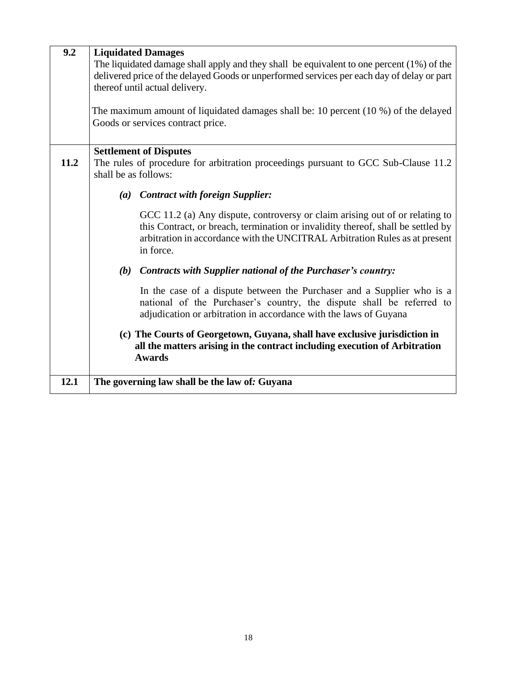| 9.2  | <b>Liquidated Damages</b><br>The liquidated damage shall apply and they shall be equivalent to one percent $(1%)$ of the<br>delivered price of the delayed Goods or unperformed services per each day of delay or part<br>thereof until actual delivery.<br>The maximum amount of liquidated damages shall be: 10 percent (10 %) of the delayed<br>Goods or services contract price. |
|------|--------------------------------------------------------------------------------------------------------------------------------------------------------------------------------------------------------------------------------------------------------------------------------------------------------------------------------------------------------------------------------------|
| 11.2 | <b>Settlement of Disputes</b><br>The rules of procedure for arbitration proceedings pursuant to GCC Sub-Clause 11.2<br>shall be as follows:                                                                                                                                                                                                                                          |
|      | (a) Contract with foreign Supplier:                                                                                                                                                                                                                                                                                                                                                  |
|      | GCC 11.2 (a) Any dispute, controversy or claim arising out of or relating to<br>this Contract, or breach, termination or invalidity thereof, shall be settled by<br>arbitration in accordance with the UNCITRAL Arbitration Rules as at present<br>in force.                                                                                                                         |
|      | <b>Contracts with Supplier national of the Purchaser's country:</b><br>(b)                                                                                                                                                                                                                                                                                                           |
|      | In the case of a dispute between the Purchaser and a Supplier who is a<br>national of the Purchaser's country, the dispute shall be referred to<br>adjudication or arbitration in accordance with the laws of Guyana                                                                                                                                                                 |
|      | (c) The Courts of Georgetown, Guyana, shall have exclusive jurisdiction in<br>all the matters arising in the contract including execution of Arbitration<br><b>Awards</b>                                                                                                                                                                                                            |
| 12.1 | The governing law shall be the law of: Guyana                                                                                                                                                                                                                                                                                                                                        |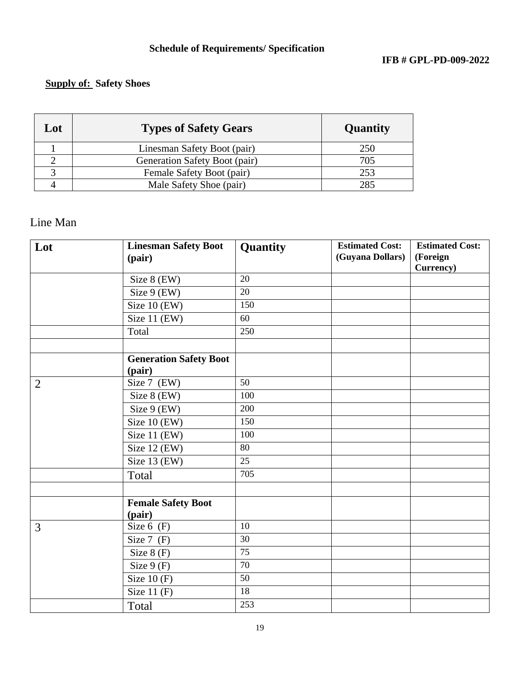# **Supply of: Safety Shoes**

| Lot | <b>Types of Safety Gears</b>  | Quantity |
|-----|-------------------------------|----------|
|     | Linesman Safety Boot (pair)   | 250      |
|     | Generation Safety Boot (pair) | 705      |
|     | Female Safety Boot (pair)     | 253      |
|     | Male Safety Shoe (pair)       | 285      |

# Line Man

| Lot            | <b>Linesman Safety Boot</b>   | Quantity        | <b>Estimated Cost:</b> | <b>Estimated Cost:</b> |
|----------------|-------------------------------|-----------------|------------------------|------------------------|
|                | (pair)                        |                 | (Guyana Dollars)       | (Foreign               |
|                |                               |                 |                        | Currency)              |
|                | Size 8 (EW)                   | 20              |                        |                        |
|                | Size 9 (EW)                   | 20              |                        |                        |
|                | Size 10 (EW)                  | 150             |                        |                        |
|                | Size 11 (EW)                  | 60              |                        |                        |
|                | Total                         | 250             |                        |                        |
|                |                               |                 |                        |                        |
|                | <b>Generation Safety Boot</b> |                 |                        |                        |
|                | (pair)                        |                 |                        |                        |
| $\overline{2}$ | Size 7 (EW)                   | 50              |                        |                        |
|                | Size $8$ (EW)                 | 100             |                        |                        |
|                | Size 9 (EW)                   | 200             |                        |                        |
|                | Size 10 (EW)                  | 150             |                        |                        |
|                | Size 11 (EW)                  | 100             |                        |                        |
|                | Size 12 (EW)                  | 80              |                        |                        |
|                | Size 13 (EW)                  | 25              |                        |                        |
|                | Total                         | 705             |                        |                        |
|                |                               |                 |                        |                        |
|                | <b>Female Safety Boot</b>     |                 |                        |                        |
|                | (pair)                        |                 |                        |                        |
| 3              | Size $6$ (F)                  | 10              |                        |                        |
|                | Size $7$ (F)                  | $\overline{30}$ |                        |                        |
|                | Size $8(F)$                   | 75              |                        |                        |
|                | Size $9(F)$                   | 70              |                        |                        |
|                | Size $10(F)$                  | 50              |                        |                        |
|                | Size $11(F)$                  | 18              |                        |                        |
|                | Total                         | 253             |                        |                        |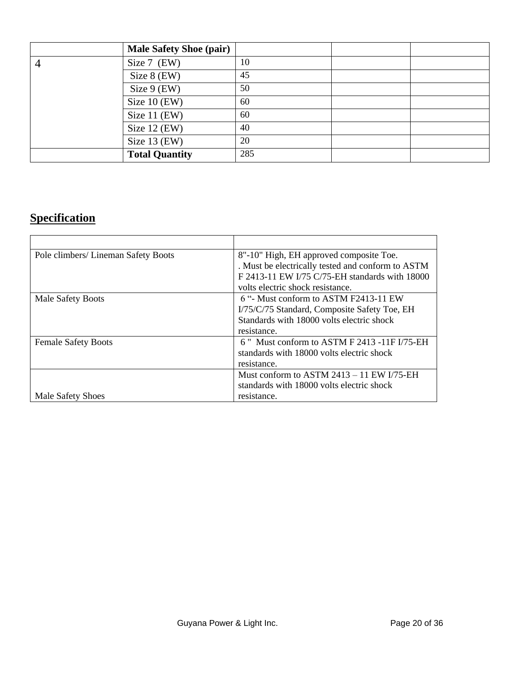|                | <b>Male Safety Shoe (pair)</b> |     |  |
|----------------|--------------------------------|-----|--|
| $\overline{4}$ | Size 7 (EW)                    | 10  |  |
|                | Size 8 (EW)                    | 45  |  |
|                | Size $9$ (EW)                  | 50  |  |
|                | Size $10$ (EW)                 | 60  |  |
|                | Size 11 (EW)                   | 60  |  |
|                | Size $12$ (EW)                 | 40  |  |
|                | Size 13 (EW)                   | 20  |  |
|                | <b>Total Quantity</b>          | 285 |  |

# **Specification**

| Pole climbers/ Lineman Safety Boots | 8"-10" High, EH approved composite Toe.           |
|-------------------------------------|---------------------------------------------------|
|                                     | . Must be electrically tested and conform to ASTM |
|                                     | F 2413-11 EW I/75 C/75-EH standards with 18000    |
|                                     | volts electric shock resistance.                  |
| <b>Male Safety Boots</b>            | 6 "- Must conform to ASTM F2413-11 EW             |
|                                     | I/75/C/75 Standard, Composite Safety Toe, EH      |
|                                     | Standards with 18000 volts electric shock         |
|                                     | resistance.                                       |
| <b>Female Safety Boots</b>          | 6" Must conform to ASTM F 2413 -11F I/75-EH       |
|                                     | standards with 18000 volts electric shock         |
|                                     | resistance.                                       |
|                                     | Must conform to $ASTM 2413 - 11 EW I/75-EH$       |
|                                     | standards with 18000 volts electric shock         |
| Male Safety Shoes                   | resistance.                                       |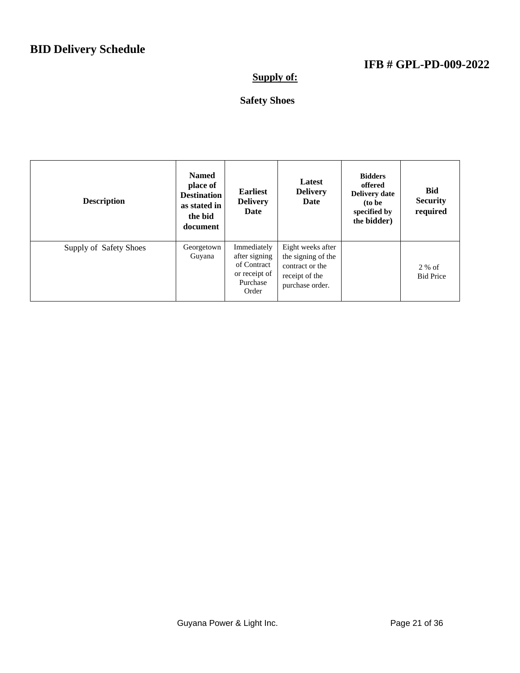# **Supply of:**

# **Safety Shoes**

| <b>Description</b>     | <b>Named</b><br>place of<br><b>Destination</b><br>as stated in<br>the bid<br>document | <b>Earliest</b><br><b>Delivery</b><br>Date                                        | Latest<br><b>Delivery</b><br>Date                                                               | <b>Bidders</b><br>offered<br><b>Delivery date</b><br>(to be<br>specified by<br>the bidder) | <b>Bid</b><br><b>Security</b><br>required |
|------------------------|---------------------------------------------------------------------------------------|-----------------------------------------------------------------------------------|-------------------------------------------------------------------------------------------------|--------------------------------------------------------------------------------------------|-------------------------------------------|
| Supply of Safety Shoes | Georgetown<br>Guyana                                                                  | Immediately<br>after signing<br>of Contract<br>or receipt of<br>Purchase<br>Order | Eight weeks after<br>the signing of the<br>contract or the<br>receipt of the<br>purchase order. |                                                                                            | $2\%$ of<br><b>Bid Price</b>              |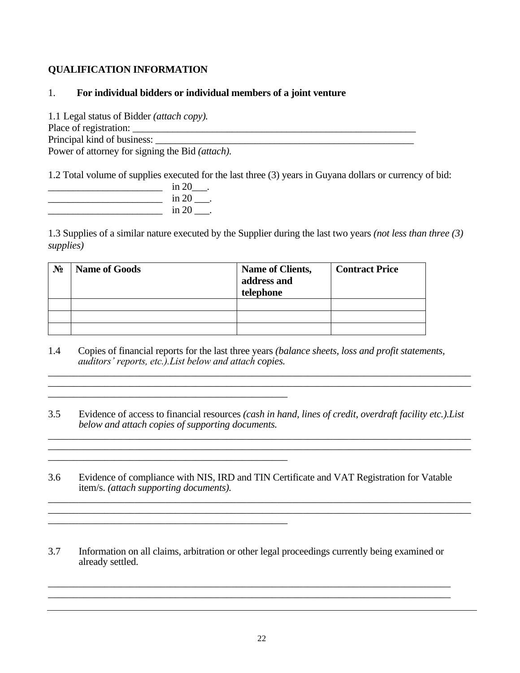#### **QUALIFICATION INFORMATION**

#### 1. **For individual bidders or individual members of a joint venture**

1.1 Legal status of Bidder *(attach copy).* Place of registration: \_\_\_\_\_\_\_\_\_\_\_\_\_\_\_\_\_\_\_\_\_\_\_\_\_\_\_\_\_\_\_\_\_\_\_\_\_\_\_\_\_\_\_\_\_\_\_\_\_\_\_\_\_\_\_\_\_ Principal kind of business: Power of attorney for signing the Bid *(attach).*

\_\_\_\_\_\_\_\_\_\_\_\_\_\_\_\_\_\_\_\_\_\_\_\_\_\_\_\_\_\_\_\_\_\_\_\_\_\_\_\_\_\_\_\_\_\_\_

\_\_\_\_\_\_\_\_\_\_\_\_\_\_\_\_\_\_\_\_\_\_\_\_\_\_\_\_\_\_\_\_\_\_\_\_\_\_\_\_\_\_\_\_\_\_\_

1.2 Total volume of supplies executed for the last three (3) years in Guyana dollars or currency of bid:

| in 2  |
|-------|
| in 20 |
| in 20 |

1.3 Supplies of a similar nature executed by the Supplier during the last two years *(not less than three (3) supplies)*

| $N_2$ | <b>Name of Goods</b> | Name of Clients,<br>address and<br>telephone | <b>Contract Price</b> |
|-------|----------------------|----------------------------------------------|-----------------------|
|       |                      |                                              |                       |
|       |                      |                                              |                       |
|       |                      |                                              |                       |

1.4 Copies of financial reports for the last three years *(balance sheets, loss and profit statements, auditors' reports, etc.).List below and attach copies.* \_\_\_\_\_\_\_\_\_\_\_\_\_\_\_\_\_\_\_\_\_\_\_\_\_\_\_\_\_\_\_\_\_\_\_\_\_\_\_\_\_\_\_\_\_\_\_\_\_\_\_\_\_\_\_\_\_\_\_\_\_\_\_\_\_\_\_\_\_\_\_\_\_\_\_\_\_\_\_\_\_\_\_

3.5 Evidence of access to financial resources *(cash in hand, lines of credit, overdraft facility etc.).List below and attach copies of supporting documents.*  $\blacksquare$ 

 $\mathcal{L}_\mathcal{L} = \{ \mathcal{L}_\mathcal{L} = \{ \mathcal{L}_\mathcal{L} = \{ \mathcal{L}_\mathcal{L} = \{ \mathcal{L}_\mathcal{L} = \{ \mathcal{L}_\mathcal{L} = \{ \mathcal{L}_\mathcal{L} = \{ \mathcal{L}_\mathcal{L} = \{ \mathcal{L}_\mathcal{L} = \{ \mathcal{L}_\mathcal{L} = \{ \mathcal{L}_\mathcal{L} = \{ \mathcal{L}_\mathcal{L} = \{ \mathcal{L}_\mathcal{L} = \{ \mathcal{L}_\mathcal{L} = \{ \mathcal{L}_\mathcal{$ 

- 3.6 Evidence of compliance with NIS, IRD and TIN Certificate and VAT Registration for Vatable item/s. *(attach supporting documents).*
- 3.7 Information on all claims, arbitration or other legal proceedings currently being examined or already settled.

\_\_\_\_\_\_\_\_\_\_\_\_\_\_\_\_\_\_\_\_\_\_\_\_\_\_\_\_\_\_\_\_\_\_\_\_\_\_\_\_\_\_\_\_\_\_\_\_\_\_\_\_\_\_\_\_\_\_\_\_\_\_\_\_\_\_\_\_\_\_\_\_\_\_\_\_\_\_\_ \_\_\_\_\_\_\_\_\_\_\_\_\_\_\_\_\_\_\_\_\_\_\_\_\_\_\_\_\_\_\_\_\_\_\_\_\_\_\_\_\_\_\_\_\_\_\_\_\_\_\_\_\_\_\_\_\_\_\_\_\_\_\_\_\_\_\_\_\_\_\_\_\_\_\_\_\_\_\_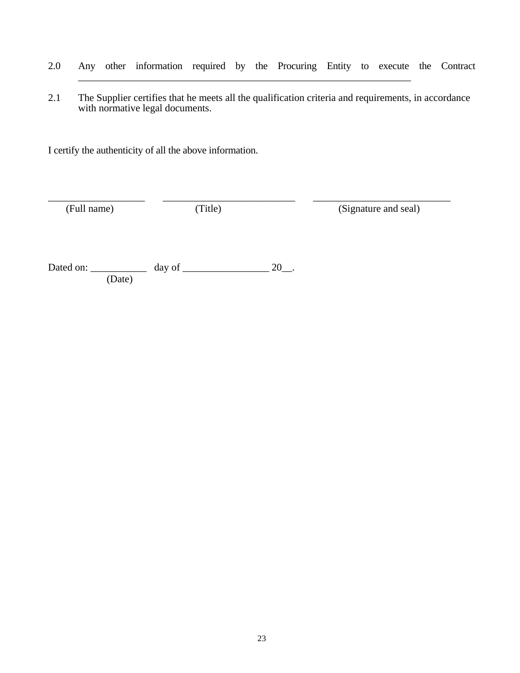- 2.0 Any other information required by the Procuring Entity to execute the Contract \_\_\_\_\_\_\_\_\_\_\_\_\_\_\_\_\_\_\_\_\_\_\_\_\_\_\_\_\_\_\_\_\_\_\_\_\_\_\_\_\_\_\_\_\_\_\_\_\_\_\_\_\_\_\_\_\_\_\_\_\_\_\_\_\_\_\_
- 2.1 The Supplier certifies that he meets all the qualification criteria and requirements, in accordance with normative legal documents.

\_\_\_\_\_\_\_\_\_\_\_\_\_\_\_\_\_\_\_ \_\_\_\_\_\_\_\_\_\_\_\_\_\_\_\_\_\_\_\_\_\_\_\_\_\_ \_\_\_\_\_\_\_\_\_\_\_\_\_\_\_\_\_\_\_\_\_\_\_\_\_\_\_

I certify the authenticity of all the above information.

(Full name) (Title) (Signature and seal)

Dated on:  $\frac{1}{20}$  day of  $\frac{1}{20}$ . (Date)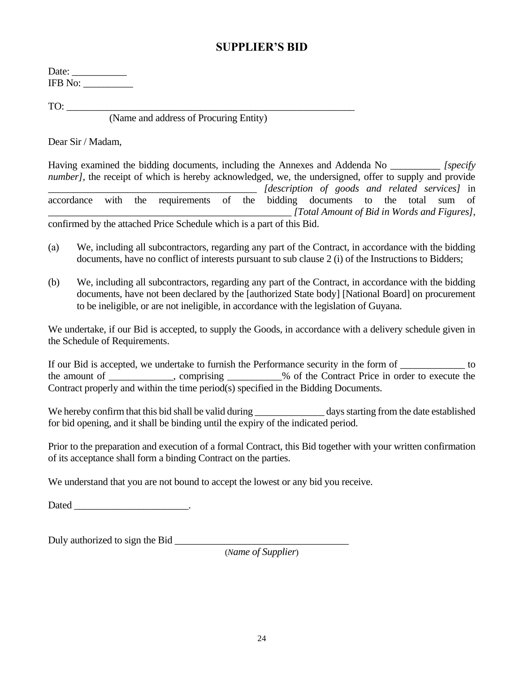#### **SUPPLIER'S BID**

Date: \_\_\_\_\_\_\_\_\_\_\_ IFB No: \_\_\_\_\_\_\_\_\_\_

TO:

(Name and address of Procuring Entity)

Dear Sir / Madam,

Having examined the bidding documents, including the Annexes and Addenda No *[specify ] number]*, the receipt of which is hereby acknowledged, we, the undersigned, offer to supply and provide \_\_\_\_\_\_\_\_\_\_\_\_\_\_\_\_\_\_\_\_\_\_\_\_\_\_\_\_\_\_\_\_\_\_\_\_\_\_\_\_\_\_ *[description of goods and related services]* in accordance with the requirements of the bidding documents to the total sum of \_\_\_\_\_\_\_\_\_\_\_\_\_\_\_\_\_\_\_\_\_\_\_\_\_\_\_\_\_\_\_\_\_\_\_\_\_\_\_\_\_\_\_\_\_\_\_\_\_ *[Total Amount of Bid in Words and Figures]*, confirmed by the attached Price Schedule which is a part of this Bid.

- (а) We, including all subcontractors, regarding any part of the Contract, in accordance with the bidding documents, have no conflict of interests pursuant to sub clause 2 (i) of the Instructions to Bidders;
- (b) We, including all subcontractors, regarding any part of the Contract, in accordance with the bidding documents, have not been declared by the [authorized State body] [National Board] on procurement to be ineligible, or are not ineligible, in accordance with the legislation of Guyana.

We undertake, if our Bid is accepted, to supply the Goods, in accordance with a delivery schedule given in the Schedule of Requirements.

If our Bid is accepted, we undertake to furnish the Performance security in the form of \_\_\_\_\_\_\_\_\_\_\_\_\_\_\_\_ to the amount of comprising the Contract Price in order to execute the Contract properly and within the time period(s) specified in the Bidding Documents.

We hereby confirm that this bid shall be valid during \_\_\_\_\_\_\_\_\_\_\_\_\_\_\_\_\_ days starting from the date established for bid opening, and it shall be binding until the expiry of the indicated period.

Prior to the preparation and execution of a formal Contract, this Bid together with your written confirmation of its acceptance shall form a binding Contract on the parties.

We understand that you are not bound to accept the lowest or any bid you receive.

Dated \_\_\_\_\_\_\_\_\_\_\_\_\_\_\_\_\_\_\_\_\_\_\_.

Duly authorized to sign the Bid \_\_\_\_\_\_\_\_\_\_\_\_\_\_\_\_\_\_\_\_\_\_\_\_\_\_\_\_\_\_\_\_\_\_\_

(*Name of Supplier*)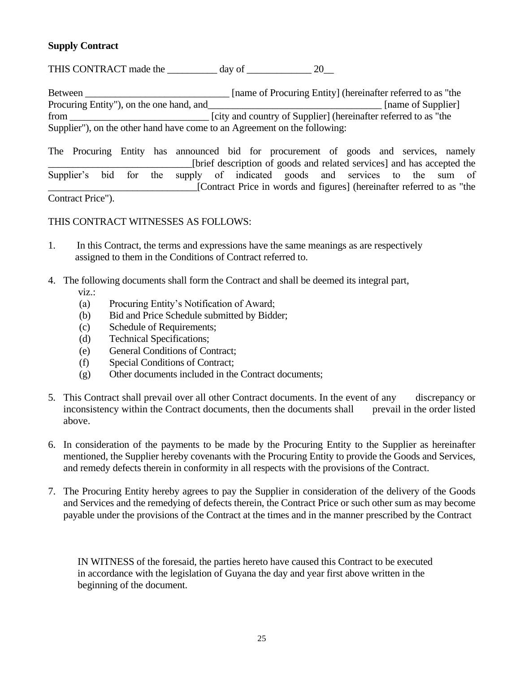#### **Supply Contract**

THIS CONTRACT made the day of 20

Between \_\_\_\_\_\_\_\_\_\_\_\_\_\_\_\_\_\_\_\_\_\_\_\_\_\_\_\_\_ [name of Procuring Entity] (hereinafter referred to as "the Procuring Entity"), on the one hand, and [name of Supplier] from \_\_\_\_\_\_\_\_\_\_\_\_\_\_\_\_\_\_\_\_\_\_\_\_\_\_\_\_ [city and country of Supplier] (hereinafter referred to as "the Supplier"), on the other hand have come to an Agreement on the following:

The Procuring Entity has announced bid for procurement of goods and services, namely \_\_\_\_\_\_\_\_\_\_\_\_\_\_\_\_\_\_\_\_\_\_\_\_\_\_\_\_\_[brief description of goods and related services] and has accepted the Supplier's bid for the supply of indicated goods and services to the sum of \_\_\_\_\_\_\_\_\_\_\_\_\_\_\_\_\_\_\_\_\_\_\_\_\_\_\_\_\_\_[Contract Price in words and figures] (hereinafter referred to as "the

Contract Price").

#### THIS CONTRACT WITNESSES AS FOLLOWS:

- 1. In this Contract, the terms and expressions have the same meanings as are respectively assigned to them in the Conditions of Contract referred to.
- 4. The following documents shall form the Contract and shall be deemed its integral part,
	- viz.:
	- (а) Procuring Entity's Notification of Award;
	- (b) Bid and Price Schedule submitted by Bidder;
	- (c) Schedule of Requirements;
	- (d) Technical Specifications;
	- (e) General Conditions of Contract;
	- (f) Special Conditions of Contract;
	- (g) Other documents included in the Contract documents;
- 5. This Contract shall prevail over all other Contract documents. In the event of any discrepancy or inconsistency within the Contract documents, then the documents shall prevail in the order listed above.
- 6. In consideration of the payments to be made by the Procuring Entity to the Supplier as hereinafter mentioned, the Supplier hereby covenants with the Procuring Entity to provide the Goods and Services, and remedy defects therein in conformity in all respects with the provisions of the Contract.
- 7. The Procuring Entity hereby agrees to pay the Supplier in consideration of the delivery of the Goods and Services and the remedying of defects therein, the Contract Price or such other sum as may become payable under the provisions of the Contract at the times and in the manner prescribed by the Contract

 IN WITNESS of the foresaid, the parties hereto have caused this Contract to be executed in accordance with the legislation of Guyana the day and year first above written in the beginning of the document.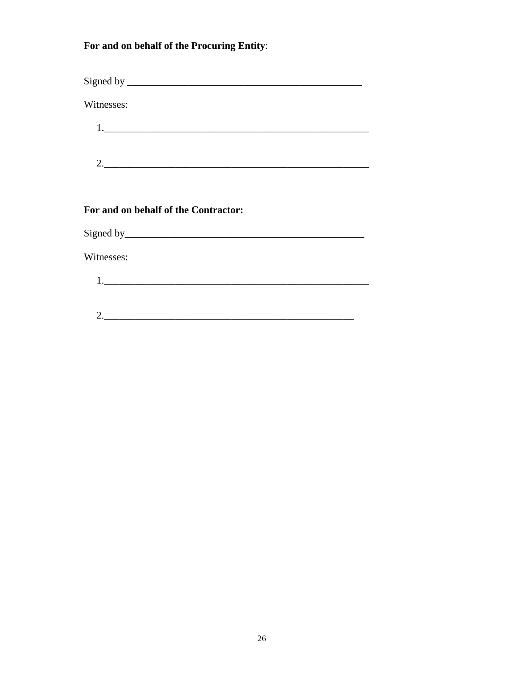For and on behalf of the Procuring Entity:

| Witnesses:                    |  |  |  |
|-------------------------------|--|--|--|
|                               |  |  |  |
| $2. \underline{\hspace{2cm}}$ |  |  |  |
|                               |  |  |  |
|                               |  |  |  |

#### For and on behalf of the Contractor:

Witnesses:

 $\begin{array}{c|c|c|c|c} \hline \rule{0pt}{16pt} \multicolumn{3}{c|}{\textbf{2.}} & \multicolumn{3}{c|}{\textbf{2.}} \\ \hline \end{array}$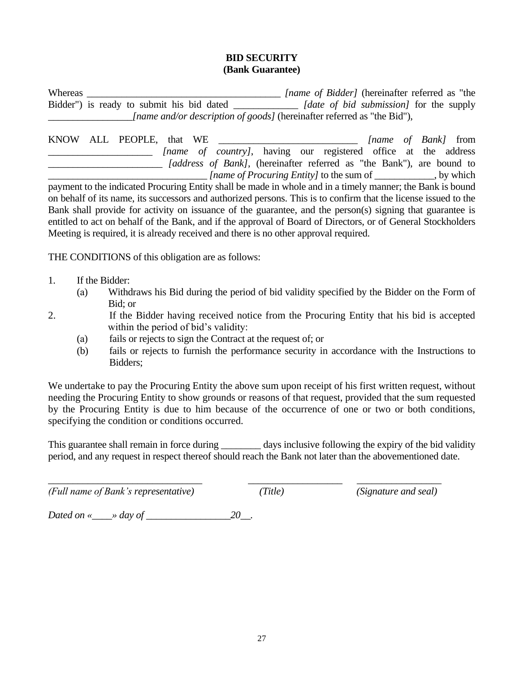#### **BID SECURITY (Bank Guarantee)**

Whereas \_\_\_\_\_\_\_\_\_\_\_\_\_\_\_\_\_\_\_\_\_\_\_\_\_\_\_\_\_\_\_\_\_\_\_\_\_\_\_ *[name of Bidder]* (hereinafter referred as "the Bidder") is ready to submit his bid dated \_\_\_\_\_\_\_\_\_\_\_\_\_ *[date of bid submission]* for the supply \_\_\_\_\_\_\_\_\_\_\_\_\_\_\_\_\_*[name and/or description of goods]* (hereinafter referred as "the Bid"),

|  | KNOW ALL PEOPLE, that WE                                                                                  |  |                                                                               |  |  |  | <i>Iname of Bank]</i> from |
|--|-----------------------------------------------------------------------------------------------------------|--|-------------------------------------------------------------------------------|--|--|--|----------------------------|
|  |                                                                                                           |  | <i>Iname of country]</i> , having our registered office at the address        |  |  |  |                            |
|  |                                                                                                           |  | <i>[address of Bank]</i> , (hereinafter referred as "the Bank"), are bound to |  |  |  |                            |
|  |                                                                                                           |  |                                                                               |  |  |  | , by which                 |
|  | perment to the indicated Dreaming Entity shall be made in whole and in a timely meanon the Deply is hound |  |                                                                               |  |  |  |                            |

payment to the indicated Procuring Entity shall be made in whole and in a timely manner; the Bank is bound on behalf of its name, its successors and authorized persons. This is to confirm that the license issued to the Bank shall provide for activity on issuance of the guarantee, and the person(s) signing that guarantee is entitled to act on behalf of the Bank, and if the approval of Board of Directors, or of General Stockholders Meeting is required, it is already received and there is no other approval required.

THE CONDITIONS of this obligation are as follows:

- 1. If the Bidder:
	- (а) Withdraws his Bid during the period of bid validity specified by the Bidder on the Form of Bid; or
- 2. If the Bidder having received notice from the Procuring Entity that his bid is accepted within the period of bid's validity:
	- (а) fails or rejects to sign the Contract at the request of; or
	- (b) fails or rejects to furnish the performance security in accordance with the Instructions to Bidders;

We undertake to pay the Procuring Entity the above sum upon receipt of his first written request, without needing the Procuring Entity to show grounds or reasons of that request, provided that the sum requested by the Procuring Entity is due to him because of the occurrence of one or two or both conditions, specifying the condition or conditions occurred.

This guarantee shall remain in force during days inclusive following the expiry of the bid validity period, and any request in respect thereof should reach the Bank not later than the abovementioned date.

\_\_\_\_\_\_\_\_\_\_\_\_\_\_\_\_\_\_\_\_\_\_\_\_\_\_\_\_\_\_\_ \_\_\_\_\_\_\_\_\_\_\_\_\_\_\_\_\_\_\_ \_\_\_\_\_\_\_\_\_\_\_\_\_\_\_\_\_ *(Full name of Bank's representative) (Title) (Signature and seal)*

*Dated on «\_\_\_\_» day of \_\_\_\_\_\_\_\_\_\_\_\_\_\_\_\_\_20\_\_.*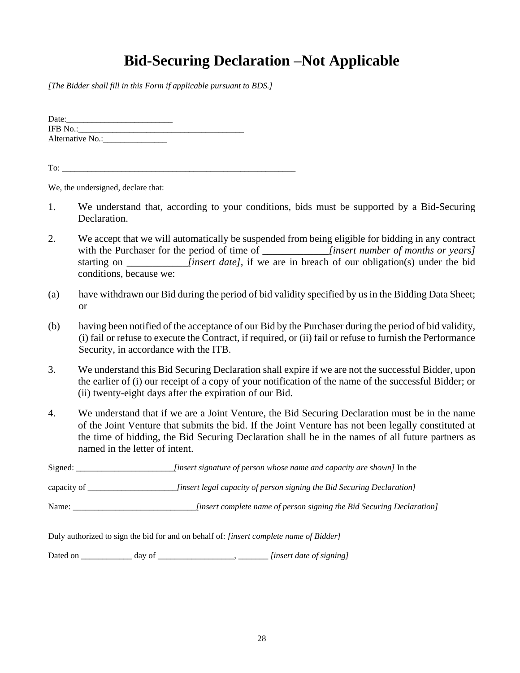# **Bid-Securing Declaration –Not Applicable**

*[The Bidder shall fill in this Form if applicable pursuant to BDS.]*

| Date:            |  |
|------------------|--|
| IFB No.:         |  |
| Alternative No.: |  |

To:

We, the undersigned, declare that:

- 1. We understand that, according to your conditions, bids must be supported by a Bid-Securing Declaration.
- 2. We accept that we will automatically be suspended from being eligible for bidding in any contract with the Purchaser for the period of time of *insert number of months or years]* starting on *\_\_\_\_\_\_\_\_\_\_\_\_\_\_\_\_\_\_\_[insert date]*, if we are in breach of our obligation(s) under the bid conditions, because we:
- (a) have withdrawn our Bid during the period of bid validity specified by us in the Bidding Data Sheet; or
- (b) having been notified of the acceptance of our Bid by the Purchaser during the period of bid validity, (i) fail or refuse to execute the Contract, if required, or (ii) fail or refuse to furnish the Performance Security, in accordance with the ITB.
- 3. We understand this Bid Securing Declaration shall expire if we are not the successful Bidder, upon the earlier of (i) our receipt of a copy of your notification of the name of the successful Bidder; or (ii) twenty-eight days after the expiration of our Bid.
- 4. We understand that if we are a Joint Venture, the Bid Securing Declaration must be in the name of the Joint Venture that submits the bid. If the Joint Venture has not been legally constituted at the time of bidding, the Bid Securing Declaration shall be in the names of all future partners as named in the letter of intent.

| Signed:     | <i>finsert signature of person whose name and capacity are shown]</i> In the                  |
|-------------|-----------------------------------------------------------------------------------------------|
| capacity of | [insert legal capacity of person signing the Bid Securing Declaration]                        |
| Name:       | [insert complete name of person signing the Bid Securing Declaration]                         |
|             | Duly authorized to sign the bid for and on behalf of: <i>[insert complete name of Bidder]</i> |

Dated on \_\_\_\_\_\_\_\_\_\_\_\_ day of \_\_\_\_\_\_\_\_\_\_\_\_\_\_\_\_\_\_, \_\_\_\_\_\_\_ *[insert date of signing]*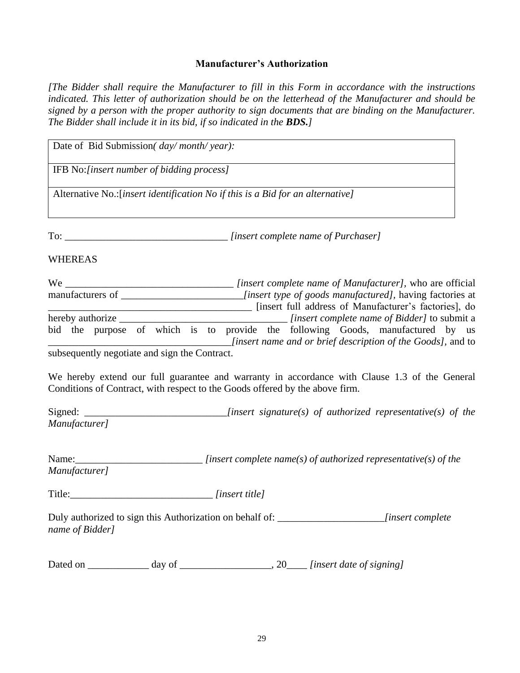#### **Manufacturer's Authorization**

*[The Bidder shall require the Manufacturer to fill in this Form in accordance with the instructions indicated. This letter of authorization should be on the letterhead of the Manufacturer and should be signed by a person with the proper authority to sign documents that are binding on the Manufacturer. The Bidder shall include it in its bid, if so indicated in the BDS.]*

| Date of Bid Submission( day/ month/ year):    |                                                                                                                                                                               |
|-----------------------------------------------|-------------------------------------------------------------------------------------------------------------------------------------------------------------------------------|
| IFB No:[insert number of bidding process]     |                                                                                                                                                                               |
|                                               | Alternative No.: [insert identification No if this is a Bid for an alternative]                                                                                               |
|                                               |                                                                                                                                                                               |
| <b>WHEREAS</b>                                |                                                                                                                                                                               |
|                                               | [insert full address of Manufacturer's factories], do                                                                                                                         |
|                                               | bid the purpose of which is to provide the following Goods, manufactured by us<br>$[insert name and or brief description of the Goods],$ and to                               |
| subsequently negotiate and sign the Contract. |                                                                                                                                                                               |
|                                               | We hereby extend our full guarantee and warranty in accordance with Clause 1.3 of the General<br>Conditions of Contract, with respect to the Goods offered by the above firm. |
| Manufacturer]                                 |                                                                                                                                                                               |
| Manufacturer]                                 | Name: $\frac{1}{\text{Name}}$ [insert complete name(s) of authorized representative(s) of the                                                                                 |
|                                               | Title: [insert title]                                                                                                                                                         |
| name of Bidder]                               | Duly authorized to sign this Authorization on behalf of: ________________________insert complete                                                                              |
|                                               |                                                                                                                                                                               |
|                                               |                                                                                                                                                                               |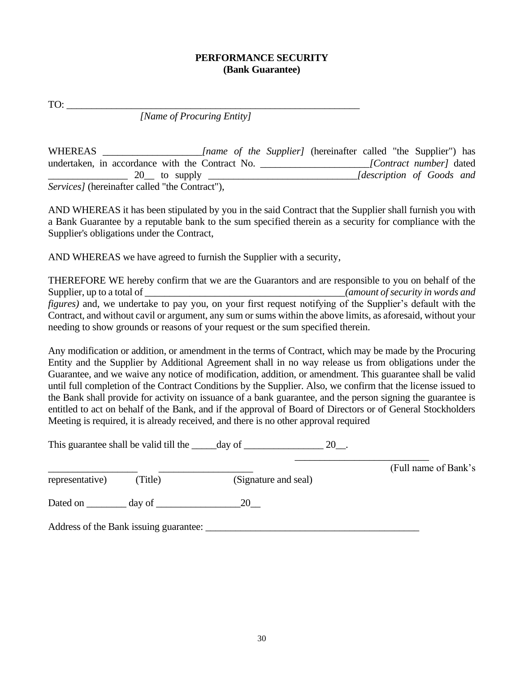#### **PERFORMANCE SECURITY (Bank Guarantee)**

TO:

*[Name of Procuring Entity]*

WHEREAS [name of the Supplier] (hereinafter called "the Supplier") has undertaken, in accordance with the Contract No. \_\_\_\_\_\_\_\_\_\_\_\_\_\_\_\_\_\_\_\_\_\_*[Contract number]* dated \_\_\_\_\_\_\_\_\_\_\_\_\_\_\_\_ 20\_\_ to supply \_\_\_\_\_\_\_\_\_\_\_\_\_\_\_\_\_\_\_\_\_\_\_\_\_\_\_\_\_\_*[description of Goods and Services]* (hereinafter called "the Contract"),

AND WHEREAS it has been stipulated by you in the said Contract that the Supplier shall furnish you with a Bank Guarantee by a reputable bank to the sum specified therein as a security for compliance with the Supplier's obligations under the Contract,

AND WHEREAS we have agreed to furnish the Supplier with a security,

THEREFORE WE hereby confirm that we are the Guarantors and are responsible to you on behalf of the Supplier, up to a total of \_\_\_\_\_\_\_\_\_\_\_\_\_\_\_\_\_\_\_\_\_\_\_\_\_\_\_\_\_\_\_\_\_\_\_\_\_\_\_\_*(amount of security in words and figures*) and, we undertake to pay you, on your first request notifying of the Supplier's default with the Contract, and without cavil or argument, any sum or sums within the above limits, as aforesaid, without your needing to show grounds or reasons of your request or the sum specified therein.

Any modification or addition, or amendment in the terms of Contract, which may be made by the Procuring Entity and the Supplier by Additional Agreement shall in no way release us from obligations under the Guarantee, and we waive any notice of modification, addition, or amendment. This guarantee shall be valid until full completion of the Contract Conditions by the Supplier. Also, we confirm that the license issued to the Bank shall provide for activity on issuance of a bank guarantee, and the person signing the guarantee is entitled to act on behalf of the Bank, and if the approval of Board of Directors or of General Stockholders Meeting is required, it is already received, and there is no other approval required

|                 |                                        | This guarantee shall be valid till the day of<br>20. |                      |
|-----------------|----------------------------------------|------------------------------------------------------|----------------------|
|                 |                                        |                                                      | (Full name of Bank's |
| representative) | (Title)                                | (Signature and seal)                                 |                      |
|                 |                                        | 20                                                   |                      |
|                 | Address of the Bank issuing guarantee: |                                                      |                      |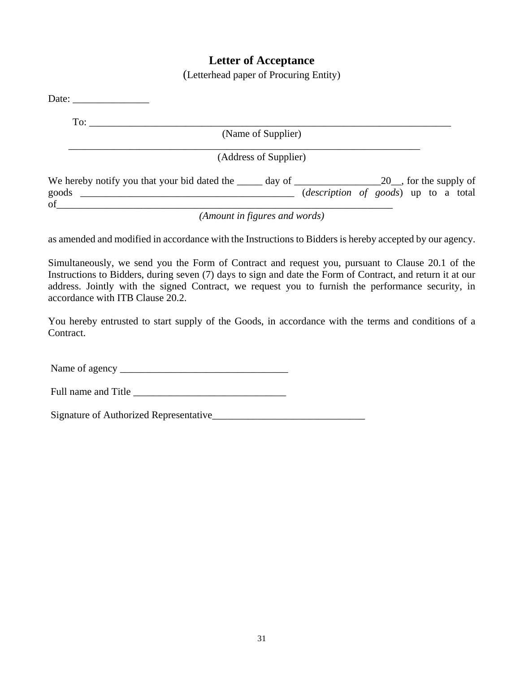#### **Letter of Acceptance**

(Letterhead paper of Procuring Entity)

| Date: $\qquad \qquad$                                                                                                                                         |  |
|---------------------------------------------------------------------------------------------------------------------------------------------------------------|--|
| To:                                                                                                                                                           |  |
| (Name of Supplier)                                                                                                                                            |  |
| (Address of Supplier)                                                                                                                                         |  |
| We hereby notify you that your bid dated the $\_\_\_\_$ day of $\_\_\_\_\_\_$ 20, for the supply of<br>( <i>description of goods</i> ) up to a total<br>goods |  |
| $\sigma$ of<br>(Amount in figures and words)                                                                                                                  |  |

as amended and modified in accordance with the Instructions to Bidders is hereby accepted by our agency.

Simultaneously, we send you the Form of Contract and request you, pursuant to Clause 20.1 of the Instructions to Bidders, during seven (7) days to sign and date the Form of Contract, and return it at our address. Jointly with the signed Contract, we request you to furnish the performance security, in accordance with ITB Clause 20.2.

You hereby entrusted to start supply of the Goods, in accordance with the terms and conditions of a Contract.

Name of agency \_\_\_\_\_\_\_\_\_\_\_\_\_\_\_\_\_\_\_\_\_\_\_\_\_\_\_\_\_\_\_\_\_

Full name and Title

Signature of Authorized Representative\_\_\_\_\_\_\_\_\_\_\_\_\_\_\_\_\_\_\_\_\_\_\_\_\_\_\_\_\_\_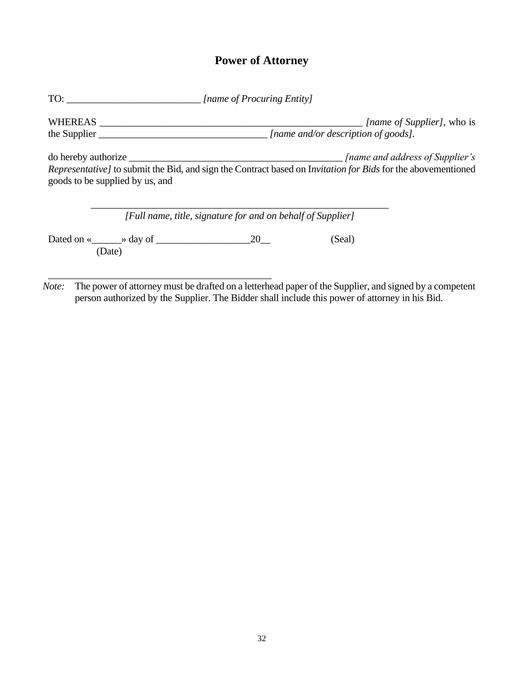# **Power of Attorney**

| TO:                                                  |                                                             | [name of Procuring Entity] |                                                                                                              |
|------------------------------------------------------|-------------------------------------------------------------|----------------------------|--------------------------------------------------------------------------------------------------------------|
| WHEREAS<br>the Supplier                              |                                                             |                            | <i>Iname of Supplier]</i> , who is<br>[name and/or description of goods].                                    |
|                                                      |                                                             |                            |                                                                                                              |
| goods to be supplied by us, and                      |                                                             |                            | Representative] to submit the Bid, and sign the Contract based on Invitation for Bids for the abovementioned |
|                                                      | [Full name, title, signature for and on behalf of Supplier] |                            |                                                                                                              |
| Dated on « $\_\_\_$ » day of $\_\_\_\_$ 20<br>(Date) |                                                             |                            | (Seal)                                                                                                       |
|                                                      |                                                             |                            |                                                                                                              |

 *Note:* The power of attorney must be drafted on a letterhead paper of the Supplier, and signed by a competent person authorized by the Supplier. The Bidder shall include this power of attorney in his Bid.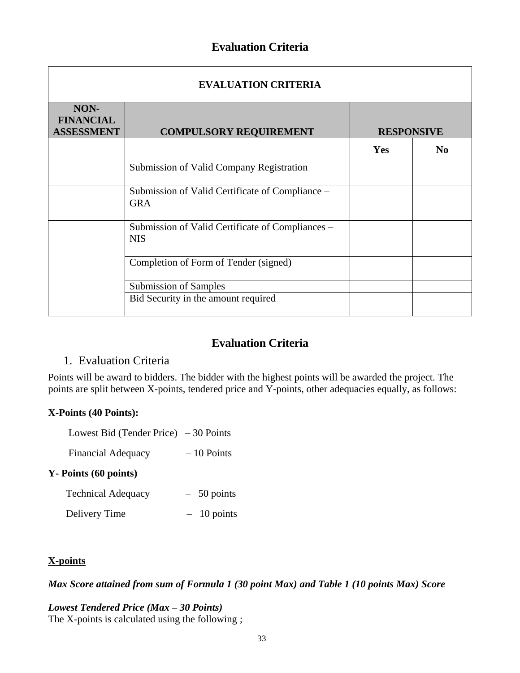#### **Evaluation Criteria**

| <b>EVALUATION CRITERIA</b>                    |                                                                |                   |                |  |  |  |  |
|-----------------------------------------------|----------------------------------------------------------------|-------------------|----------------|--|--|--|--|
| NON-<br><b>FINANCIAL</b><br><b>ASSESSMENT</b> | <b>COMPULSORY REQUIREMENT</b>                                  | <b>RESPONSIVE</b> |                |  |  |  |  |
|                                               |                                                                | Yes               | N <sub>0</sub> |  |  |  |  |
|                                               | Submission of Valid Company Registration                       |                   |                |  |  |  |  |
|                                               | Submission of Valid Certificate of Compliance –<br><b>GRA</b>  |                   |                |  |  |  |  |
|                                               | Submission of Valid Certificate of Compliances -<br><b>NIS</b> |                   |                |  |  |  |  |
|                                               | Completion of Form of Tender (signed)                          |                   |                |  |  |  |  |
|                                               | Submission of Samples                                          |                   |                |  |  |  |  |
|                                               | Bid Security in the amount required                            |                   |                |  |  |  |  |

### **Evaluation Criteria**

#### 1. Evaluation Criteria

Points will be award to bidders. The bidder with the highest points will be awarded the project. The points are split between X-points, tendered price and Y-points, other adequacies equally, as follows:

#### **X-Points (40 Points):**

| Lowest Bid (Tender Price) $-30$ Points |  |
|----------------------------------------|--|
|                                        |  |

Financial Adequacy – 10 Points

#### **Y- Points (60 points)**

| <b>Technical Adequacy</b> | $-50$ points |
|---------------------------|--------------|
| Delivery Time             | $-10$ points |

#### **X-points**

*Max Score attained from sum of Formula 1 (30 point Max) and Table 1 (10 points Max) Score*

# *Lowest Tendered Price (Max – 30 Points)*

The X-points is calculated using the following ;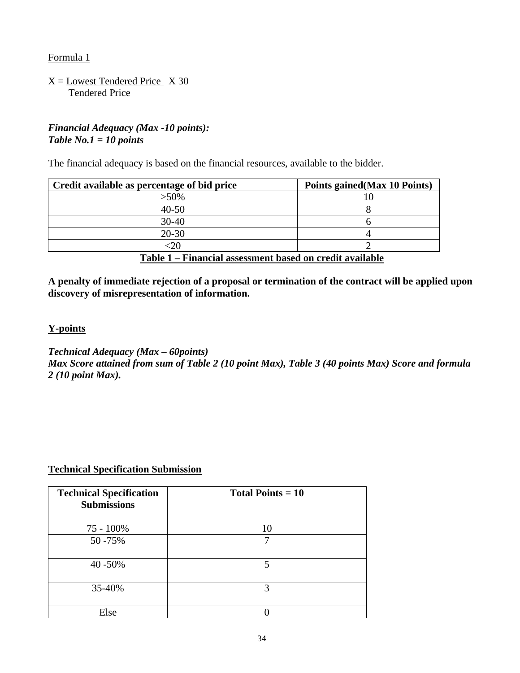Formula 1

 $X =$  Lowest Tendered Price  $X$  30 Tendered Price

#### *Financial Adequacy (Max -10 points): Table No.1 = 10 points*

The financial adequacy is based on the financial resources, available to the bidder.

| Credit available as percentage of bid price              | Points gained (Max 10 Points) |  |
|----------------------------------------------------------|-------------------------------|--|
| $>50\%$                                                  |                               |  |
| $40 - 50$                                                |                               |  |
| $30 - 40$                                                |                               |  |
| $20 - 30$                                                |                               |  |
|                                                          |                               |  |
| Table 1 – Financial assessment based on credit available |                               |  |

**A penalty of immediate rejection of a proposal or termination of the contract will be applied upon discovery of misrepresentation of information.**

#### **Y-points**

*Technical Adequacy (Max – 60points) Max Score attained from sum of Table 2 (10 point Max), Table 3 (40 points Max) Score and formula 2 (10 point Max).*

#### **Technical Specification Submission**

| <b>Technical Specification</b><br><b>Submissions</b> | Total Points $= 10$ |
|------------------------------------------------------|---------------------|
| 75 - 100%                                            | 10                  |
| 50 - 75%                                             | 7                   |
| 40 - 50%                                             | 5                   |
| 35-40%                                               | 3                   |
| Else                                                 |                     |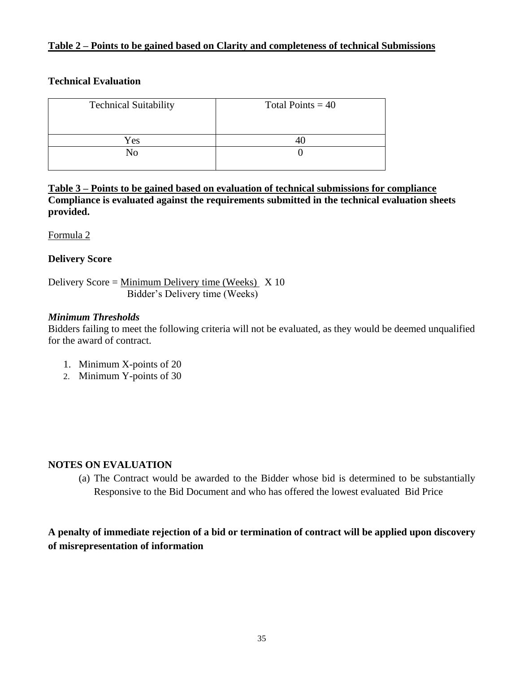#### **Table 2 – Points to be gained based on Clarity and completeness of technical Submissions**

#### **Technical Evaluation**

| <b>Technical Suitability</b> | Total Points = $40$ |
|------------------------------|---------------------|
| Yes                          |                     |
| No                           |                     |

**Table 3 – Points to be gained based on evaluation of technical submissions for compliance Compliance is evaluated against the requirements submitted in the technical evaluation sheets provided.** 

Formula 2

#### **Delivery Score**

Delivery Score = Minimum Delivery time (Weeks)  $\bar{X}$  10 Bidder's Delivery time (Weeks)

#### *Minimum Thresholds*

Bidders failing to meet the following criteria will not be evaluated, as they would be deemed unqualified for the award of contract.

- 1. Minimum X-points of 20
- 2. Minimum Y-points of 30

#### **NOTES ON EVALUATION**

(a) The Contract would be awarded to the Bidder whose bid is determined to be substantially Responsive to the Bid Document and who has offered the lowest evaluated Bid Price

#### **A penalty of immediate rejection of a bid or termination of contract will be applied upon discovery of misrepresentation of information**